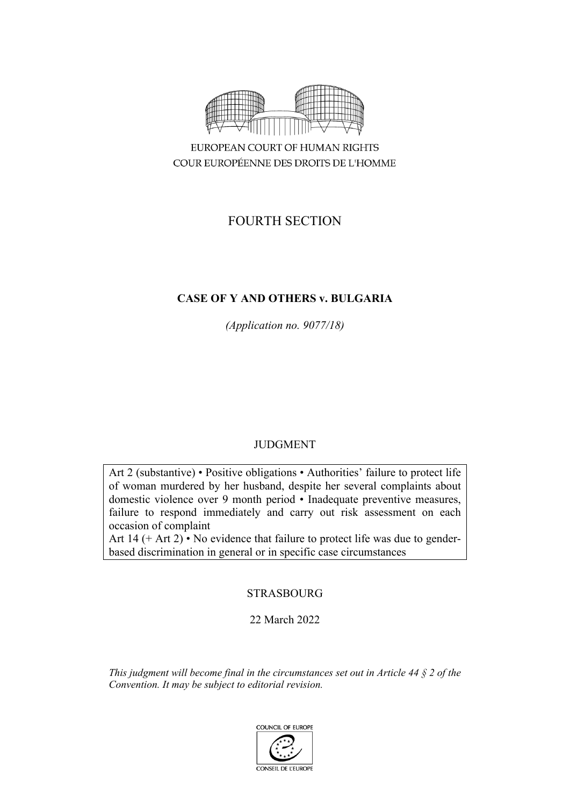

COUR EUROPÉENNE DES DROITS DE L'HOMME

# FOURTH SECTION

# **CASE OF Y AND OTHERS v. BULGARIA**

*(Application no. 9077/18)*

# JUDGMENT

Art 2 (substantive) • Positive obligations • Authorities' failure to protect life of woman murdered by her husband, despite her several complaints about domestic violence over 9 month period • Inadequate preventive measures, failure to respond immediately and carry out risk assessment on each occasion of complaint

Art 14 (+ Art 2) • No evidence that failure to protect life was due to genderbased discrimination in general or in specific case circumstances

# **STRASBOURG**

22 March 2022

*This judgment will become final in the circumstances set out in Article 44 § 2 of the Convention. It may be subject to editorial revision.*

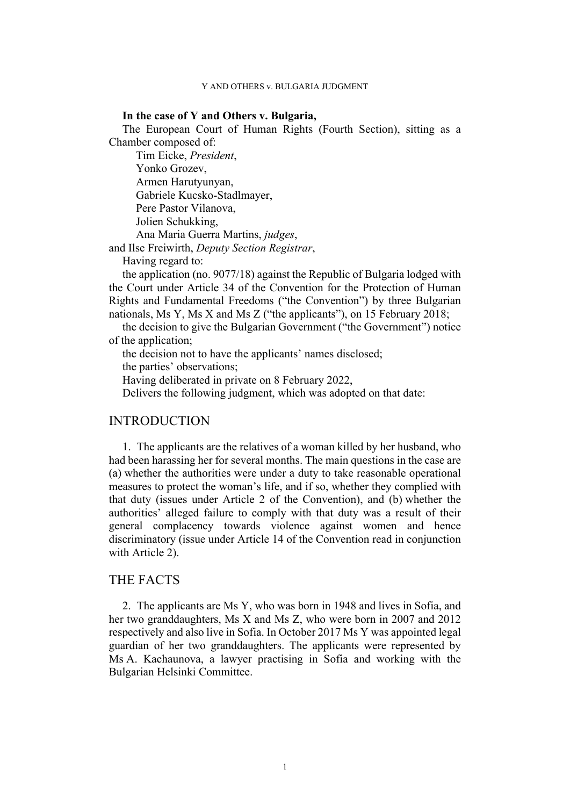### **In the case of Y and Others v. Bulgaria,**

The European Court of Human Rights (Fourth Section), sitting as a Chamber composed of:

Tim Eicke, *President*, Yonko Grozev, Armen Harutyunyan, Gabriele Kucsko-Stadlmayer, Pere Pastor Vilanova, Jolien Schukking, Ana Maria Guerra Martins, *judges*,

and Ilse Freiwirth, *Deputy Section Registrar*,

Having regard to:

the application (no. 9077/18) against the Republic of Bulgaria lodged with the Court under Article 34 of the Convention for the Protection of Human Rights and Fundamental Freedoms ("the Convention") by three Bulgarian nationals, Ms Y, Ms X and Ms Z ("the applicants"), on 15 February 2018;

the decision to give the Bulgarian Government ("the Government") notice of the application;

the decision not to have the applicants' names disclosed;

the parties' observations;

Having deliberated in private on 8 February 2022,

Delivers the following judgment, which was adopted on that date:

# INTRODUCTION

1. The applicants are the relatives of a woman killed by her husband, who had been harassing her for several months. The main questions in the case are (a) whether the authorities were under a duty to take reasonable operational measures to protect the woman's life, and if so, whether they complied with that duty (issues under Article 2 of the Convention), and (b) whether the authorities' alleged failure to comply with that duty was a result of their general complacency towards violence against women and hence discriminatory (issue under Article 14 of the Convention read in conjunction with Article 2).

# THE FACTS

2. The applicants are Ms Y, who was born in 1948 and lives in Sofia, and her two granddaughters, Ms X and Ms Z, who were born in 2007 and 2012 respectively and also live in Sofia. In October 2017 Ms Y was appointed legal guardian of her two granddaughters. The applicants were represented by Ms A. Kachaunova, a lawyer practising in Sofia and working with the Bulgarian Helsinki Committee.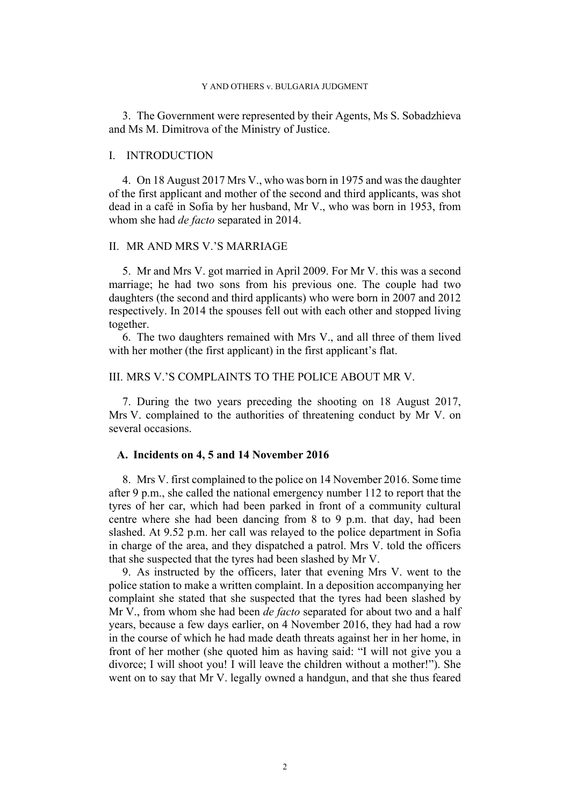3. The Government were represented by their Agents, Ms S. Sobadzhieva and Ms M. Dimitrova of the Ministry of Justice.

### I. INTRODUCTION

4. On 18 August 2017 Mrs V., who was born in 1975 and was the daughter of the first applicant and mother of the second and third applicants, was shot dead in a café in Sofia by her husband, Mr V., who was born in 1953, from whom she had *de facto* separated in 2014.

# II. MR AND MRS V.'S MARRIAGE

5. Mr and Mrs V. got married in April 2009. For Mr V. this was a second marriage; he had two sons from his previous one. The couple had two daughters (the second and third applicants) who were born in 2007 and 2012 respectively. In 2014 the spouses fell out with each other and stopped living together.

6. The two daughters remained with Mrs V., and all three of them lived with her mother (the first applicant) in the first applicant's flat.

# III. MRS V.'S COMPLAINTS TO THE POLICE ABOUT MR V.

7. During the two years preceding the shooting on 18 August 2017, Mrs V. complained to the authorities of threatening conduct by Mr V. on several occasions.

### **A. Incidents on 4, 5 and 14 November 2016**

<span id="page-3-1"></span>8. Mrs V. first complained to the police on 14 November 2016. Some time after 9 p.m., she called the national emergency number 112 to report that the tyres of her car, which had been parked in front of a community cultural centre where she had been dancing from 8 to 9 p.m. that day, had been slashed. At 9.52 p.m. her call was relayed to the police department in Sofia in charge of the area, and they dispatched a patrol. Mrs V. told the officers that she suspected that the tyres had been slashed by Mr V.

<span id="page-3-0"></span>9. As instructed by the officers, later that evening Mrs V. went to the police station to make a written complaint. In a deposition accompanying her complaint she stated that she suspected that the tyres had been slashed by Mr V., from whom she had been *de facto* separated for about two and a half years, because a few days earlier, on 4 November 2016, they had had a row in the course of which he had made death threats against her in her home, in front of her mother (she quoted him as having said: "I will not give you a divorce; I will shoot you! I will leave the children without a mother!"). She went on to say that Mr V. legally owned a handgun, and that she thus feared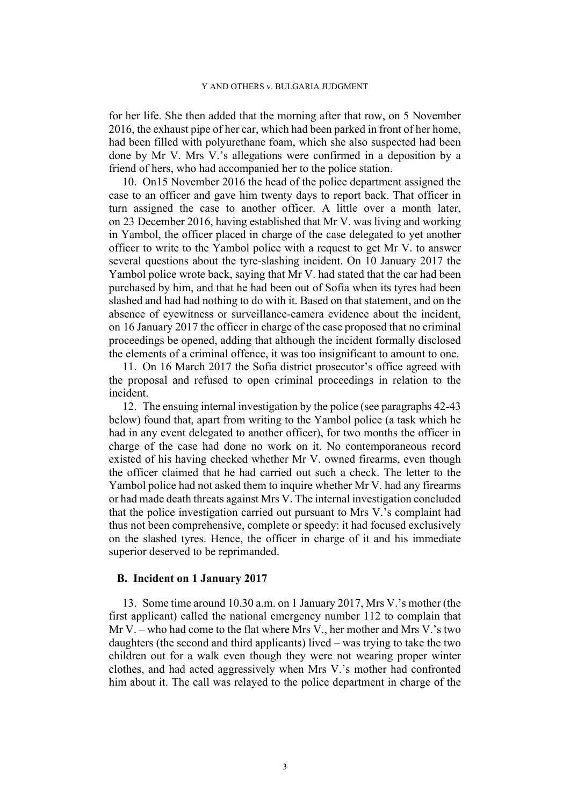for her life. She then added that the morning after that row, on 5 November 2016, the exhaust pipe of her car, which had been parked in front of her home, had been filled with polyurethane foam, which she also suspected had been done by Mr V. Mrs V.'s allegations were confirmed in a deposition by a friend of hers, who had accompanied her to the police station.

<span id="page-4-2"></span>10. On15 November 2016 the head of the police department assigned the case to an officer and gave him twenty days to report back. That officer in turn assigned the case to another officer. A little over a month later, on 23 December 2016, having established that Mr V. was living and working in Yambol, the officer placed in charge of the case delegated to yet another officer to write to the Yambol police with a request to get Mr V. to answer several questions about the tyre-slashing incident. On 10 January 2017 the Yambol police wrote back, saying that Mr V. had stated that the car had been purchased by him, and that he had been out of Sofia when its tyres had been slashed and had had nothing to do with it. Based on that statement, and on the absence of eyewitness or surveillance-camera evidence about the incident, on 16 January 2017 the officer in charge of the case proposed that no criminal proceedings be opened, adding that although the incident formally disclosed the elements of a criminal offence, it was too insignificant to amount to one.

<span id="page-4-3"></span>11. On 16 March 2017 the Sofia district prosecutor's office agreed with the proposal and refused to open criminal proceedings in relation to the incident.

<span id="page-4-1"></span>12. The ensuing internal investigation by the police (see paragraphs [42-](#page-10-0)[43](#page-10-1)  below) found that, apart from writing to the Yambol police (a task which he had in any event delegated to another officer), for two months the officer in charge of the case had done no work on it. No contemporaneous record existed of his having checked whether Mr V. owned firearms, even though the officer claimed that he had carried out such a check. The letter to the Yambol police had not asked them to inquire whether Mr V. had any firearms or had made death threats against Mrs V. The internal investigation concluded that the police investigation carried out pursuant to Mrs V.'s complaint had thus not been comprehensive, complete or speedy: it had focused exclusively on the slashed tyres. Hence, the officer in charge of it and his immediate superior deserved to be reprimanded.

### **B. Incident on 1 January 2017**

<span id="page-4-0"></span>13. Some time around 10.30 a.m. on 1 January 2017, Mrs V.'s mother (the first applicant) called the national emergency number 112 to complain that Mr V. – who had come to the flat where Mrs V., her mother and Mrs V.'s two daughters (the second and third applicants) lived – was trying to take the two children out for a walk even though they were not wearing proper winter clothes, and had acted aggressively when Mrs V.'s mother had confronted him about it. The call was relayed to the police department in charge of the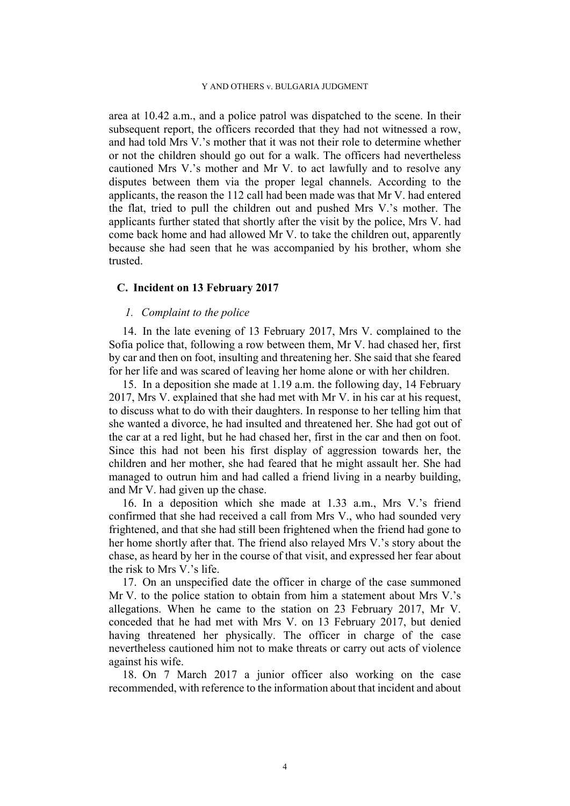area at 10.42 a.m., and a police patrol was dispatched to the scene. In their subsequent report, the officers recorded that they had not witnessed a row, and had told Mrs V.'s mother that it was not their role to determine whether or not the children should go out for a walk. The officers had nevertheless cautioned Mrs V.'s mother and Mr V. to act lawfully and to resolve any disputes between them via the proper legal channels. According to the applicants, the reason the 112 call had been made was that Mr V. had entered the flat, tried to pull the children out and pushed Mrs V.'s mother. The applicants further stated that shortly after the visit by the police, Mrs V. had come back home and had allowed Mr V. to take the children out, apparently because she had seen that he was accompanied by his brother, whom she trusted.

# **C. Incident on 13 February 2017**

# *1. Complaint to the police*

<span id="page-5-0"></span>14. In the late evening of 13 February 2017, Mrs V. complained to the Sofia police that, following a row between them, Mr V. had chased her, first by car and then on foot, insulting and threatening her. She said that she feared for her life and was scared of leaving her home alone or with her children.

15. In a deposition she made at 1.19 a.m. the following day, 14 February 2017, Mrs V. explained that she had met with Mr V. in his car at his request, to discuss what to do with their daughters. In response to her telling him that she wanted a divorce, he had insulted and threatened her. She had got out of the car at a red light, but he had chased her, first in the car and then on foot. Since this had not been his first display of aggression towards her, the children and her mother, she had feared that he might assault her. She had managed to outrun him and had called a friend living in a nearby building, and Mr V. had given up the chase.

16. In a deposition which she made at 1.33 a.m., Mrs V.'s friend confirmed that she had received a call from Mrs V., who had sounded very frightened, and that she had still been frightened when the friend had gone to her home shortly after that. The friend also relayed Mrs V.'s story about the chase, as heard by her in the course of that visit, and expressed her fear about the risk to Mrs V.'s life.

<span id="page-5-1"></span>17. On an unspecified date the officer in charge of the case summoned Mr V. to the police station to obtain from him a statement about Mrs V.'s allegations. When he came to the station on 23 February 2017, Mr V. conceded that he had met with Mrs V. on 13 February 2017, but denied having threatened her physically. The officer in charge of the case nevertheless cautioned him not to make threats or carry out acts of violence against his wife.

<span id="page-5-2"></span>18. On 7 March 2017 a junior officer also working on the case recommended, with reference to the information about that incident and about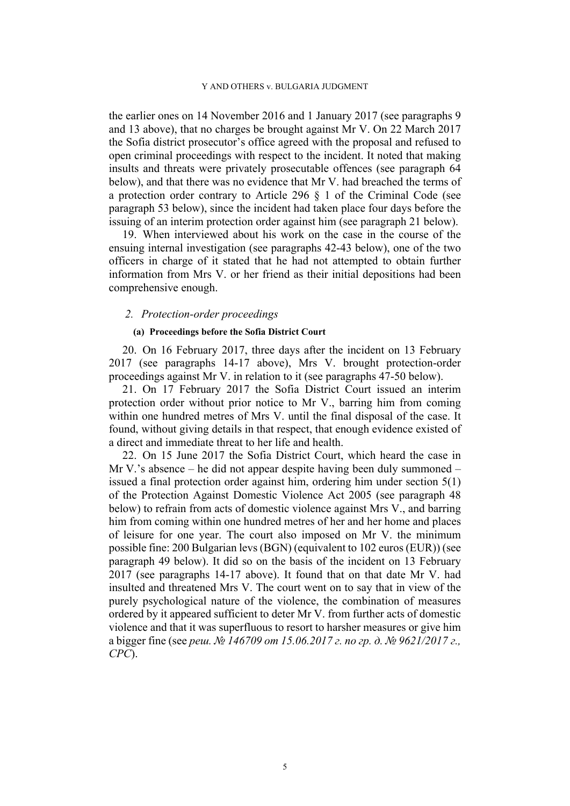the earlier ones on 14 November 2016 and 1 January 2017 (see paragraphs [9](#page-3-0)  and [13](#page-4-0) above), that no charges be brought against Mr V. On 22 March 2017 the Sofia district prosecutor's office agreed with the proposal and refused to open criminal proceedings with respect to the incident. It noted that making insults and threats were privately prosecutable offences (see paragraph [64](#page-15-0)  below), and that there was no evidence that Mr V. had breached the terms of a protection order contrary to Article 296 § 1 of the Criminal Code (see paragraph [53](#page-13-0) below), since the incident had taken place four days before the issuing of an interim protection order against him (see paragraph [21](#page-6-0) below).

<span id="page-6-2"></span>19. When interviewed about his work on the case in the course of the ensuing internal investigation (see paragraphs [42](#page-10-0)[-43](#page-10-1) below), one of the two officers in charge of it stated that he had not attempted to obtain further information from Mrs V. or her friend as their initial depositions had been comprehensive enough.

### *2. Protection-order proceedings*

## **(a) Proceedings before the Sofia District Court**

<span id="page-6-3"></span>20. On 16 February 2017, three days after the incident on 13 February 2017 (see paragraphs [14-](#page-5-0)[17](#page-5-1) above), Mrs V. brought protection-order proceedings against Mr V. in relation to it (see paragraphs [47-](#page-11-0)[50](#page-12-0) below).

<span id="page-6-0"></span>21. On 17 February 2017 the Sofia District Court issued an interim protection order without prior notice to Mr V., barring him from coming within one hundred metres of Mrs V. until the final disposal of the case. It found, without giving details in that respect, that enough evidence existed of a direct and immediate threat to her life and health.

<span id="page-6-1"></span>22. On 15 June 2017 the Sofia District Court, which heard the case in Mr V.'s absence – he did not appear despite having been duly summoned – issued a final protection order against him, ordering him under section 5(1) of the Protection Against Domestic Violence Act 2005 (see paragraph [48](#page-11-1)  below) to refrain from acts of domestic violence against Mrs V., and barring him from coming within one hundred metres of her and her home and places of leisure for one year. The court also imposed on Mr V. the minimum possible fine: 200 Bulgarian levs (BGN) (equivalent to 102 euros (EUR)) (see paragraph [49](#page-12-1) below). It did so on the basis of the incident on 13 February 2017 (see paragraphs [14-](#page-5-0)[17](#page-5-1) above). It found that on that date Mr V. had insulted and threatened Mrs V. The court went on to say that in view of the purely psychological nature of the violence, the combination of measures ordered by it appeared sufficient to deter Mr V. from further acts of domestic violence and that it was superfluous to resort to harsher measures or give him a bigger fine (see *реш. № 146709 от 15.06.2017 г. по гр. д. № 9621/2017 г., СРС*).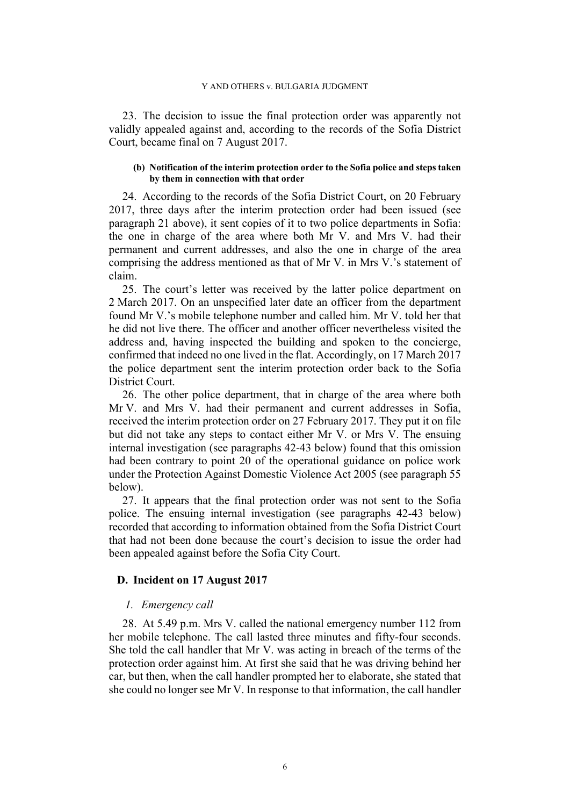<span id="page-7-4"></span>23. The decision to issue the final protection order was apparently not validly appealed against and, according to the records of the Sofia District Court, became final on 7 August 2017.

### **(b) Notification of the interim protection order to the Sofia police and steps taken by them in connection with that order**

<span id="page-7-2"></span>24. According to the records of the Sofia District Court, on 20 February 2017, three days after the interim protection order had been issued (see paragraph [21](#page-6-0) above), it sent copies of it to two police departments in Sofia: the one in charge of the area where both Mr V. and Mrs V. had their permanent and current addresses, and also the one in charge of the area comprising the address mentioned as that of Mr V. in Mrs V.'s statement of claim.

<span id="page-7-5"></span>25. The court's letter was received by the latter police department on 2 March 2017. On an unspecified later date an officer from the department found Mr V.'s mobile telephone number and called him. Mr V. told her that he did not live there. The officer and another officer nevertheless visited the address and, having inspected the building and spoken to the concierge, confirmed that indeed no one lived in the flat. Accordingly, on 17 March 2017 the police department sent the interim protection order back to the Sofia District Court.

<span id="page-7-0"></span>26. The other police department, that in charge of the area where both Mr V. and Mrs V. had their permanent and current addresses in Sofia, received the interim protection order on 27 February 2017. They put it on file but did not take any steps to contact either Mr V. or Mrs V. The ensuing internal investigation (see paragraphs [42](#page-10-0)[-43](#page-10-1) below) found that this omission had been contrary to point 20 of the operational guidance on police work under the Protection Against Domestic Violence Act 2005 (see paragraph [55](#page-13-1)  below).

<span id="page-7-1"></span>27. It appears that the final protection order was not sent to the Sofia police. The ensuing internal investigation (see paragraphs [42](#page-10-0)[-43](#page-10-1) below) recorded that according to information obtained from the Sofia District Court that had not been done because the court's decision to issue the order had been appealed against before the Sofia City Court.

### **D. Incident on 17 August 2017**

# *1. Emergency call*

<span id="page-7-3"></span>28. At 5.49 p.m. Mrs V. called the national emergency number 112 from her mobile telephone. The call lasted three minutes and fifty-four seconds. She told the call handler that Mr V. was acting in breach of the terms of the protection order against him. At first she said that he was driving behind her car, but then, when the call handler prompted her to elaborate, she stated that she could no longer see Mr V. In response to that information, the call handler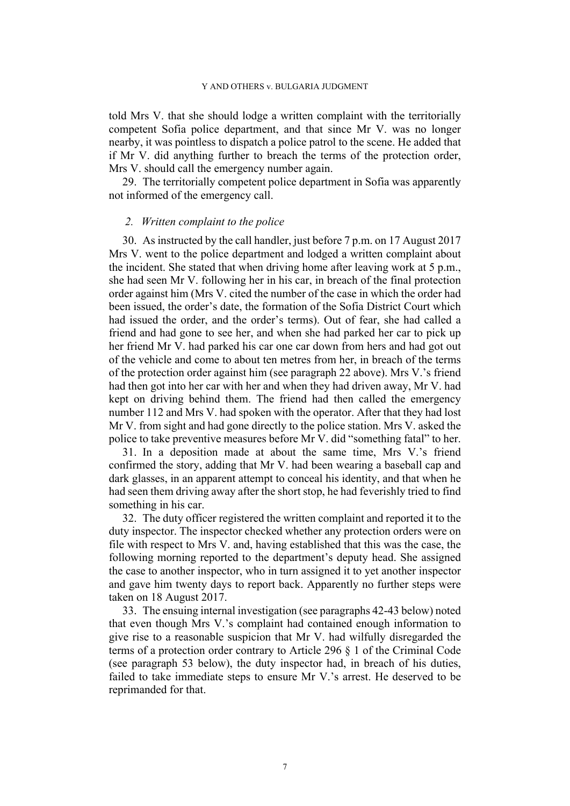told Mrs V. that she should lodge a written complaint with the territorially competent Sofia police department, and that since Mr V. was no longer nearby, it was pointless to dispatch a police patrol to the scene. He added that if Mr V. did anything further to breach the terms of the protection order, Mrs V. should call the emergency number again.

<span id="page-8-2"></span>29. The territorially competent police department in Sofia was apparently not informed of the emergency call.

### *2. Written complaint to the police*

<span id="page-8-1"></span>30. As instructed by the call handler, just before 7 p.m. on 17 August 2017 Mrs V. went to the police department and lodged a written complaint about the incident. She stated that when driving home after leaving work at 5 p.m., she had seen Mr V. following her in his car, in breach of the final protection order against him (Mrs V. cited the number of the case in which the order had been issued, the order's date, the formation of the Sofia District Court which had issued the order, and the order's terms). Out of fear, she had called a friend and had gone to see her, and when she had parked her car to pick up her friend Mr V. had parked his car one car down from hers and had got out of the vehicle and come to about ten metres from her, in breach of the terms of the protection order against him (see paragraph [22](#page-6-1) above). Mrs V.'s friend had then got into her car with her and when they had driven away, Mr V. had kept on driving behind them. The friend had then called the emergency number 112 and Mrs V. had spoken with the operator. After that they had lost Mr V. from sight and had gone directly to the police station. Mrs V. asked the police to take preventive measures before Mr V. did "something fatal" to her.

<span id="page-8-4"></span>31. In a deposition made at about the same time, Mrs V.'s friend confirmed the story, adding that Mr V. had been wearing a baseball cap and dark glasses, in an apparent attempt to conceal his identity, and that when he had seen them driving away after the short stop, he had feverishly tried to find something in his car.

<span id="page-8-3"></span>32. The duty officer registered the written complaint and reported it to the duty inspector. The inspector checked whether any protection orders were on file with respect to Mrs V. and, having established that this was the case, the following morning reported to the department's deputy head. She assigned the case to another inspector, who in turn assigned it to yet another inspector and gave him twenty days to report back. Apparently no further steps were taken on 18 August 2017.

<span id="page-8-0"></span>33. The ensuing internal investigation (see paragraphs [42](#page-10-0)[-43](#page-10-1) below) noted that even though Mrs V.'s complaint had contained enough information to give rise to a reasonable suspicion that Mr V. had wilfully disregarded the terms of a protection order contrary to Article 296 § 1 of the Criminal Code (see paragraph [53](#page-13-0) below), the duty inspector had, in breach of his duties, failed to take immediate steps to ensure Mr V.'s arrest. He deserved to be reprimanded for that.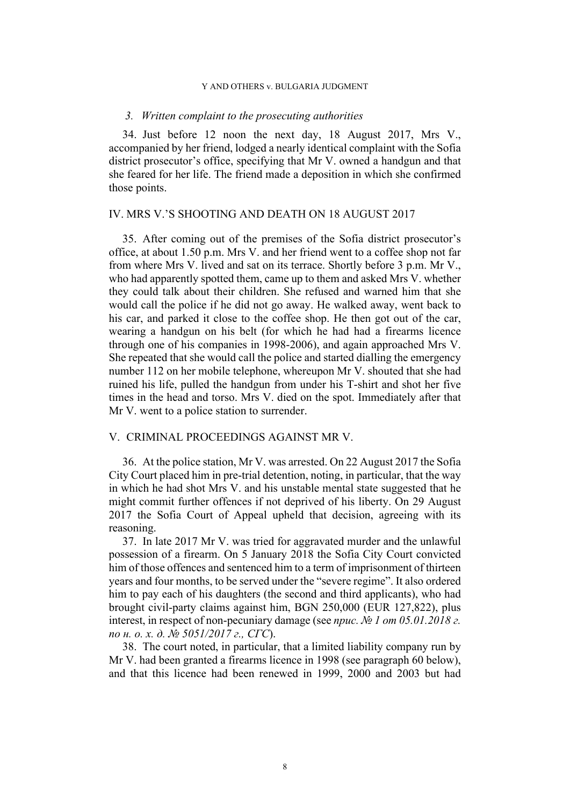### *3. Written complaint to the prosecuting authorities*

<span id="page-9-0"></span>34. Just before 12 noon the next day, 18 August 2017, Mrs V., accompanied by her friend, lodged a nearly identical complaint with the Sofia district prosecutor's office, specifying that Mr V. owned a handgun and that she feared for her life. The friend made a deposition in which she confirmed those points.

# IV. MRS V.'S SHOOTING AND DEATH ON 18 AUGUST 2017

35. After coming out of the premises of the Sofia district prosecutor's office, at about 1.50 p.m. Mrs V. and her friend went to a coffee shop not far from where Mrs V. lived and sat on its terrace. Shortly before 3 p.m. Mr V., who had apparently spotted them, came up to them and asked Mrs V. whether they could talk about their children. She refused and warned him that she would call the police if he did not go away. He walked away, went back to his car, and parked it close to the coffee shop. He then got out of the car, wearing a handgun on his belt (for which he had had a firearms licence through one of his companies in 1998-2006), and again approached Mrs V. She repeated that she would call the police and started dialling the emergency number 112 on her mobile telephone, whereupon Mr V. shouted that she had ruined his life, pulled the handgun from under his T-shirt and shot her five times in the head and torso. Mrs V. died on the spot. Immediately after that Mr V. went to a police station to surrender.

# V. CRIMINAL PROCEEDINGS AGAINST MR V.

<span id="page-9-3"></span>36. At the police station, Mr V. was arrested. On 22 August 2017 the Sofia City Court placed him in pre-trial detention, noting, in particular, that the way in which he had shot Mrs V. and his unstable mental state suggested that he might commit further offences if not deprived of his liberty. On 29 August 2017 the Sofia Court of Appeal upheld that decision, agreeing with its reasoning.

<span id="page-9-2"></span>37. In late 2017 Mr V. was tried for aggravated murder and the unlawful possession of a firearm. On 5 January 2018 the Sofia City Court convicted him of those offences and sentenced him to a term of imprisonment of thirteen years and four months, to be served under the "severe regime". It also ordered him to pay each of his daughters (the second and third applicants), who had brought civil-party claims against him, BGN 250,000 (EUR 127,822), plus interest, in respect of non-pecuniary damage (see *прис. № 1 от 05.01.2018 г. по н. о. х. д. № 5051/2017 г., СГС*).

<span id="page-9-1"></span>38. The court noted, in particular, that a limited liability company run by Mr V. had been granted a firearms licence in 1998 (see paragraph [60](#page-14-0) below), and that this licence had been renewed in 1999, 2000 and 2003 but had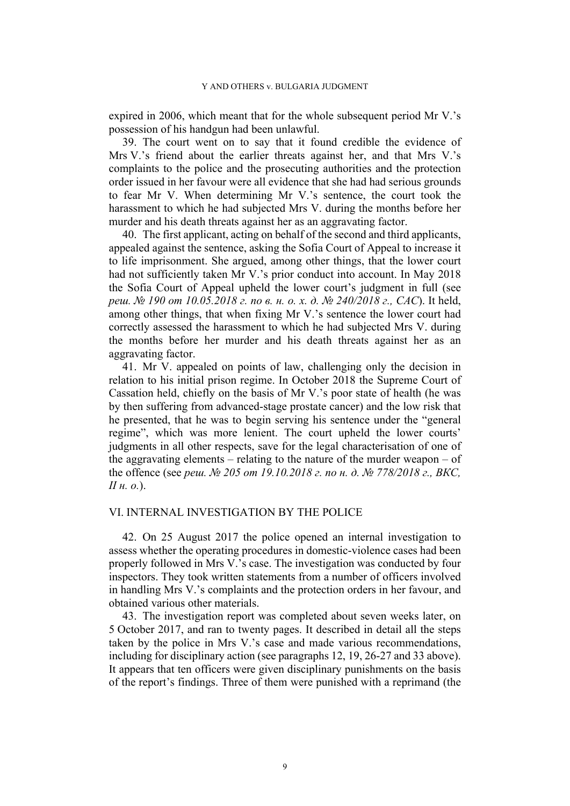expired in 2006, which meant that for the whole subsequent period Mr V.'s possession of his handgun had been unlawful.

<span id="page-10-3"></span>39. The court went on to say that it found credible the evidence of Mrs V.'s friend about the earlier threats against her, and that Mrs V.'s complaints to the police and the prosecuting authorities and the protection order issued in her favour were all evidence that she had had serious grounds to fear Mr V. When determining Mr V.'s sentence, the court took the harassment to which he had subjected Mrs V. during the months before her murder and his death threats against her as an aggravating factor.

<span id="page-10-4"></span>40. The first applicant, acting on behalf of the second and third applicants, appealed against the sentence, asking the Sofia Court of Appeal to increase it to life imprisonment. She argued, among other things, that the lower court had not sufficiently taken Mr V.'s prior conduct into account. In May 2018 the Sofia Court of Appeal upheld the lower court's judgment in full (see *реш. № 190 от 10.05.2018 г. по в. н. о. х. д. № 240/2018 г., САС*). It held, among other things, that when fixing Mr V.'s sentence the lower court had correctly assessed the harassment to which he had subjected Mrs V. during the months before her murder and his death threats against her as an aggravating factor.

<span id="page-10-2"></span>41. Mr V. appealed on points of law, challenging only the decision in relation to his initial prison regime. In October 2018 the Supreme Court of Cassation held, chiefly on the basis of Mr V.'s poor state of health (he was by then suffering from advanced-stage prostate cancer) and the low risk that he presented, that he was to begin serving his sentence under the "general regime", which was more lenient. The court upheld the lower courts' judgments in all other respects, save for the legal characterisation of one of the aggravating elements – relating to the nature of the murder weapon – of the offence (see *реш. № 205 от 19.10.2018 г. по н. д. № 778/2018 г., ВКС, II н. о.*).

## VI. INTERNAL INVESTIGATION BY THE POLICE

<span id="page-10-0"></span>42. On 25 August 2017 the police opened an internal investigation to assess whether the operating procedures in domestic-violence cases had been properly followed in Mrs V.'s case. The investigation was conducted by four inspectors. They took written statements from a number of officers involved in handling Mrs V.'s complaints and the protection orders in her favour, and obtained various other materials.

<span id="page-10-1"></span>43. The investigation report was completed about seven weeks later, on 5 October 2017, and ran to twenty pages. It described in detail all the steps taken by the police in Mrs V.'s case and made various recommendations, including for disciplinary action (see paragraphs [12](#page-4-1), [19,](#page-6-2) [26](#page-7-0)[-27](#page-7-1) and [33](#page-8-0) above). It appears that ten officers were given disciplinary punishments on the basis of the report's findings. Three of them were punished with a reprimand (the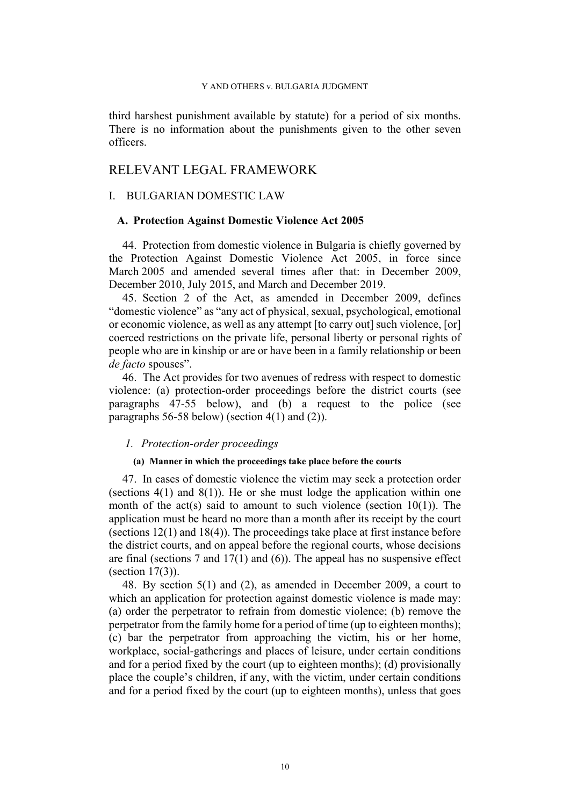third harshest punishment available by statute) for a period of six months. There is no information about the punishments given to the other seven officers.

# RELEVANT LEGAL FRAMEWORK

## I. BULGARIAN DOMESTIC LAW

### **A. Protection Against Domestic Violence Act 2005**

<span id="page-11-2"></span>44. Protection from domestic violence in Bulgaria is chiefly governed by the Protection Against Domestic Violence Act 2005, in force since March 2005 and amended several times after that: in December 2009, December 2010, July 2015, and March and December 2019.

<span id="page-11-4"></span>45. Section 2 of the Act, as amended in December 2009, defines "domestic violence" as "any act of physical, sexual, psychological, emotional or economic violence, as well as any attempt [to carry out] such violence, [or] coerced restrictions on the private life, personal liberty or personal rights of people who are in kinship or are or have been in a family relationship or been *de facto* spouses".

<span id="page-11-3"></span>46. The Act provides for two avenues of redress with respect to domestic violence: (a) protection-order proceedings before the district courts (see paragraphs [47](#page-11-0)[-55](#page-13-1) below), and (b) a request to the police (see paragraphs [56](#page-13-2)[-58](#page-14-1) below) (section 4(1) and (2)).

### *1. Protection-order proceedings*

### **(a) Manner in which the proceedings take place before the courts**

<span id="page-11-0"></span>47. In cases of domestic violence the victim may seek a protection order (sections  $4(1)$  and  $8(1)$ ). He or she must lodge the application within one month of the act(s) said to amount to such violence (section  $10(1)$ ). The application must be heard no more than a month after its receipt by the court (sections 12(1) and 18(4)). The proceedings take place at first instance before the district courts, and on appeal before the regional courts, whose decisions are final (sections 7 and 17(1) and (6)). The appeal has no suspensive effect (section 17(3)).

<span id="page-11-1"></span>48. By section 5(1) and (2), as amended in December 2009, a court to which an application for protection against domestic violence is made may: (a) order the perpetrator to refrain from domestic violence; (b) remove the perpetrator from the family home for a period of time (up to eighteen months); (c) bar the perpetrator from approaching the victim, his or her home, workplace, social-gatherings and places of leisure, under certain conditions and for a period fixed by the court (up to eighteen months); (d) provisionally place the couple's children, if any, with the victim, under certain conditions and for a period fixed by the court (up to eighteen months), unless that goes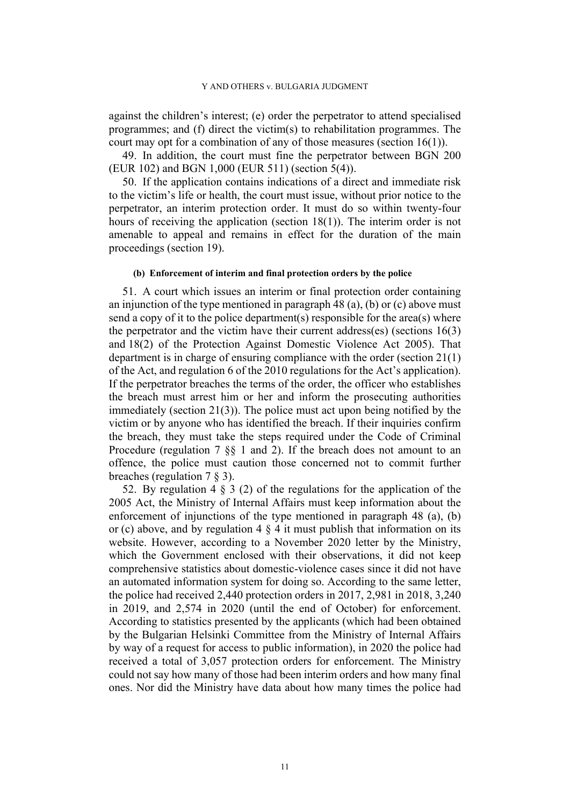against the children's interest; (e) order the perpetrator to attend specialised programmes; and (f) direct the victim(s) to rehabilitation programmes. The court may opt for a combination of any of those measures (section 16(1)).

<span id="page-12-1"></span>49. In addition, the court must fine the perpetrator between BGN 200 (EUR 102) and BGN 1,000 (EUR 511) (section 5(4)).

<span id="page-12-0"></span>50. If the application contains indications of a direct and immediate risk to the victim's life or health, the court must issue, without prior notice to the perpetrator, an interim protection order. It must do so within twenty-four hours of receiving the application (section 18(1)). The interim order is not amenable to appeal and remains in effect for the duration of the main proceedings (section 19).

#### **(b) Enforcement of interim and final protection orders by the police**

<span id="page-12-2"></span>51. A court which issues an interim or final protection order containing an injunction of the type mentioned in paragraph [48](#page-11-1) (a), (b) or (c) above must send a copy of it to the police department(s) responsible for the area(s) where the perpetrator and the victim have their current address(es) (sections 16(3) and 18(2) of the Protection Against Domestic Violence Act 2005). That department is in charge of ensuring compliance with the order (section 21(1) of the Act, and regulation 6 of the 2010 regulations for the Act's application). If the perpetrator breaches the terms of the order, the officer who establishes the breach must arrest him or her and inform the prosecuting authorities immediately (section 21(3)). The police must act upon being notified by the victim or by anyone who has identified the breach. If their inquiries confirm the breach, they must take the steps required under the Code of Criminal Procedure (regulation 7 §§ 1 and 2). If the breach does not amount to an offence, the police must caution those concerned not to commit further breaches (regulation 7 § 3).

<span id="page-12-3"></span>52. By regulation 4 § 3 (2) of the regulations for the application of the 2005 Act, the Ministry of Internal Affairs must keep information about the enforcement of injunctions of the type mentioned in paragraph [48](#page-11-1) (a), (b) or (c) above, and by regulation  $4 \tildes 4$  it must publish that information on its website. However, according to a November 2020 letter by the Ministry, which the Government enclosed with their observations, it did not keep comprehensive statistics about domestic-violence cases since it did not have an automated information system for doing so. According to the same letter, the police had received 2,440 protection orders in 2017, 2,981 in 2018, 3,240 in 2019, and 2,574 in 2020 (until the end of October) for enforcement. According to statistics presented by the applicants (which had been obtained by the Bulgarian Helsinki Committee from the Ministry of Internal Affairs by way of a request for access to public information), in 2020 the police had received a total of 3,057 protection orders for enforcement. The Ministry could not say how many of those had been interim orders and how many final ones. Nor did the Ministry have data about how many times the police had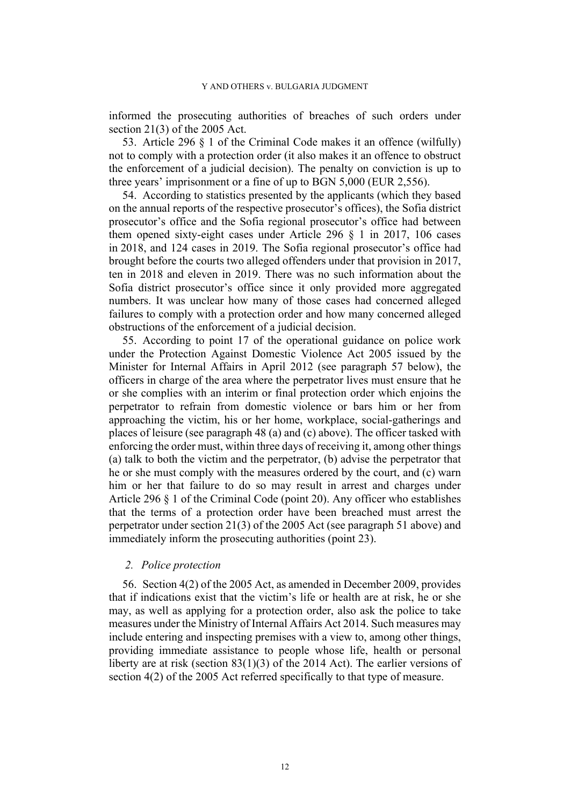informed the prosecuting authorities of breaches of such orders under section 21(3) of the 2005 Act.

<span id="page-13-0"></span>53. Article 296 § 1 of the Criminal Code makes it an offence (wilfully) not to comply with a protection order (it also makes it an offence to obstruct the enforcement of a judicial decision). The penalty on conviction is up to three years' imprisonment or a fine of up to BGN 5,000 (EUR 2,556).

<span id="page-13-3"></span>54. According to statistics presented by the applicants (which they based on the annual reports of the respective prosecutor's offices), the Sofia district prosecutor's office and the Sofia regional prosecutor's office had between them opened sixty-eight cases under Article 296 § 1 in 2017, 106 cases in 2018, and 124 cases in 2019. The Sofia regional prosecutor's office had brought before the courts two alleged offenders under that provision in 2017, ten in 2018 and eleven in 2019. There was no such information about the Sofia district prosecutor's office since it only provided more aggregated numbers. It was unclear how many of those cases had concerned alleged failures to comply with a protection order and how many concerned alleged obstructions of the enforcement of a judicial decision.

<span id="page-13-1"></span>55. According to point 17 of the operational guidance on police work under the Protection Against Domestic Violence Act 2005 issued by the Minister for Internal Affairs in April 2012 (see paragraph [57](#page-14-2) below), the officers in charge of the area where the perpetrator lives must ensure that he or she complies with an interim or final protection order which enjoins the perpetrator to refrain from domestic violence or bars him or her from approaching the victim, his or her home, workplace, social-gatherings and places of leisure (see paragraph [48](#page-11-1) (a) and (c) above). The officer tasked with enforcing the order must, within three days of receiving it, among other things (a) talk to both the victim and the perpetrator, (b) advise the perpetrator that he or she must comply with the measures ordered by the court, and (c) warn him or her that failure to do so may result in arrest and charges under Article 296 § 1 of the Criminal Code (point 20). Any officer who establishes that the terms of a protection order have been breached must arrest the perpetrator under section 21(3) of the 2005 Act (see paragraph [51](#page-12-2) above) and immediately inform the prosecuting authorities (point 23).

# *2. Police protection*

<span id="page-13-2"></span>56. Section 4(2) of the 2005 Act, as amended in December 2009, provides that if indications exist that the victim's life or health are at risk, he or she may, as well as applying for a protection order, also ask the police to take measures under the Ministry of Internal Affairs Act 2014. Such measures may include entering and inspecting premises with a view to, among other things, providing immediate assistance to people whose life, health or personal liberty are at risk (section 83(1)(3) of the 2014 Act). The earlier versions of section 4(2) of the 2005 Act referred specifically to that type of measure.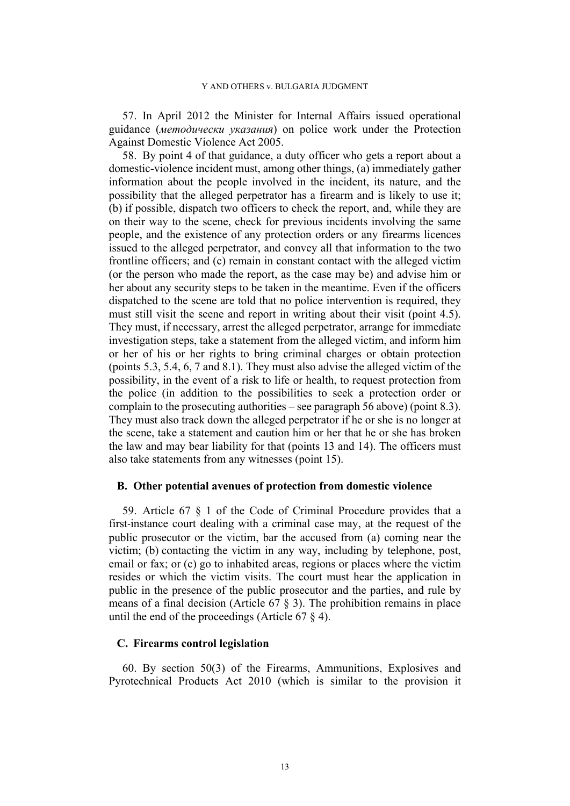<span id="page-14-2"></span>57. In April 2012 the Minister for Internal Affairs issued operational guidance (*методически указания*) on police work under the Protection Against Domestic Violence Act 2005.

<span id="page-14-1"></span>58. By point 4 of that guidance, a duty officer who gets a report about a domestic-violence incident must, among other things, (a) immediately gather information about the people involved in the incident, its nature, and the possibility that the alleged perpetrator has a firearm and is likely to use it; (b) if possible, dispatch two officers to check the report, and, while they are on their way to the scene, check for previous incidents involving the same people, and the existence of any protection orders or any firearms licences issued to the alleged perpetrator, and convey all that information to the two frontline officers; and (c) remain in constant contact with the alleged victim (or the person who made the report, as the case may be) and advise him or her about any security steps to be taken in the meantime. Even if the officers dispatched to the scene are told that no police intervention is required, they must still visit the scene and report in writing about their visit (point 4.5). They must, if necessary, arrest the alleged perpetrator, arrange for immediate investigation steps, take a statement from the alleged victim, and inform him or her of his or her rights to bring criminal charges or obtain protection (points 5.3, 5.4, 6, 7 and 8.1). They must also advise the alleged victim of the possibility, in the event of a risk to life or health, to request protection from the police (in addition to the possibilities to seek a protection order or complain to the prosecuting authorities – see paragraph [56](#page-13-2) above) (point 8.3). They must also track down the alleged perpetrator if he or she is no longer at the scene, take a statement and caution him or her that he or she has broken the law and may bear liability for that (points 13 and 14). The officers must also take statements from any witnesses (point 15).

### **B. Other potential avenues of protection from domestic violence**

59. Article 67 § 1 of the Code of Criminal Procedure provides that a first-instance court dealing with a criminal case may, at the request of the public prosecutor or the victim, bar the accused from (a) coming near the victim; (b) contacting the victim in any way, including by telephone, post, email or fax; or (c) go to inhabited areas, regions or places where the victim resides or which the victim visits. The court must hear the application in public in the presence of the public prosecutor and the parties, and rule by means of a final decision (Article  $67 \tS 3$ ). The prohibition remains in place until the end of the proceedings (Article 67 § 4).

# **C. Firearms control legislation**

<span id="page-14-0"></span>60. By section 50(3) of the Firearms, Ammunitions, Explosives and Pyrotechnical Products Act 2010 (which is similar to the provision it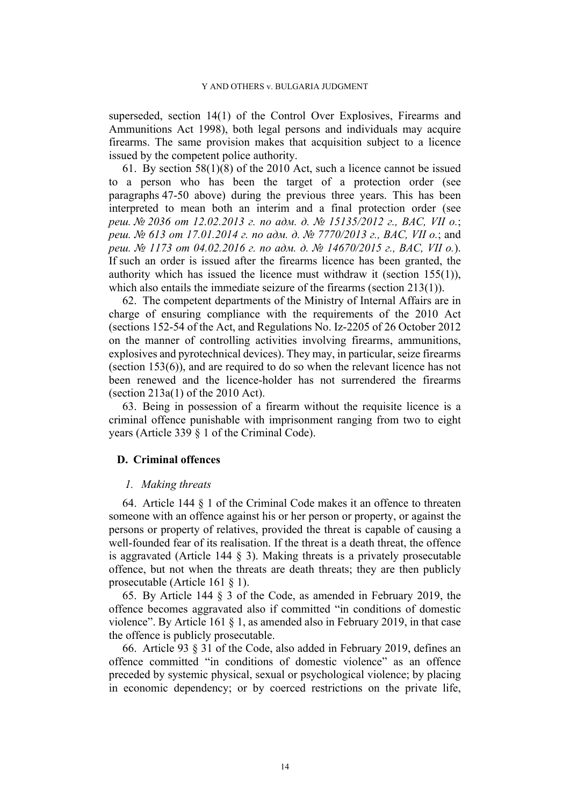superseded, section 14(1) of the Control Over Explosives, Firearms and Ammunitions Act 1998), both legal persons and individuals may acquire firearms. The same provision makes that acquisition subject to a licence issued by the competent police authority.

61. By section 58(1)(8) of the 2010 Act, such a licence cannot be issued to a person who has been the target of a protection order (see paragraphs [47](#page-11-0)[-50](#page-12-0) above) during the previous three years. This has been interpreted to mean both an interim and a final protection order (see *реш. № 2036 от 12.02.2013 г. по адм. д. № 15135/2012 г., ВАС, VII о.*; *реш. № 613 от 17.01.2014 г. по адм. д. № 7770/2013 г., ВАС, VII о.*; and *реш. № 1173 от 04.02.2016 г. по адм. д. № 14670/2015 г., ВАС, VII о.*). If such an order is issued after the firearms licence has been granted, the authority which has issued the licence must withdraw it (section 155(1)), which also entails the immediate seizure of the firearms (section 213(1)).

<span id="page-15-3"></span>62. The competent departments of the Ministry of Internal Affairs are in charge of ensuring compliance with the requirements of the 2010 Act (sections 152-54 of the Act, and Regulations No. Iz-2205 of 26 October 2012 on the manner of controlling activities involving firearms, ammunitions, explosives and pyrotechnical devices). They may, in particular, seize firearms (section 153(6)), and are required to do so when the relevant licence has not been renewed and the licence-holder has not surrendered the firearms (section 213a(1) of the 2010 Act).

<span id="page-15-4"></span>63. Being in possession of a firearm without the requisite licence is a criminal offence punishable with imprisonment ranging from two to eight years (Article 339 § 1 of the Criminal Code).

# **D. Criminal offences**

### *1. Making threats*

<span id="page-15-0"></span>64. Article 144 § 1 of the Criminal Code makes it an offence to threaten someone with an offence against his or her person or property, or against the persons or property of relatives, provided the threat is capable of causing a well-founded fear of its realisation. If the threat is a death threat, the offence is aggravated (Article 144 § 3). Making threats is a privately prosecutable offence, but not when the threats are death threats; they are then publicly prosecutable (Article 161 § 1).

<span id="page-15-1"></span>65. By Article 144 § 3 of the Code, as amended in February 2019, the offence becomes aggravated also if committed "in conditions of domestic violence". By Article 161 § 1, as amended also in February 2019, in that case the offence is publicly prosecutable.

<span id="page-15-2"></span>66. Article 93 § 31 of the Code, also added in February 2019, defines an offence committed "in conditions of domestic violence" as an offence preceded by systemic physical, sexual or psychological violence; by placing in economic dependency; or by coerced restrictions on the private life,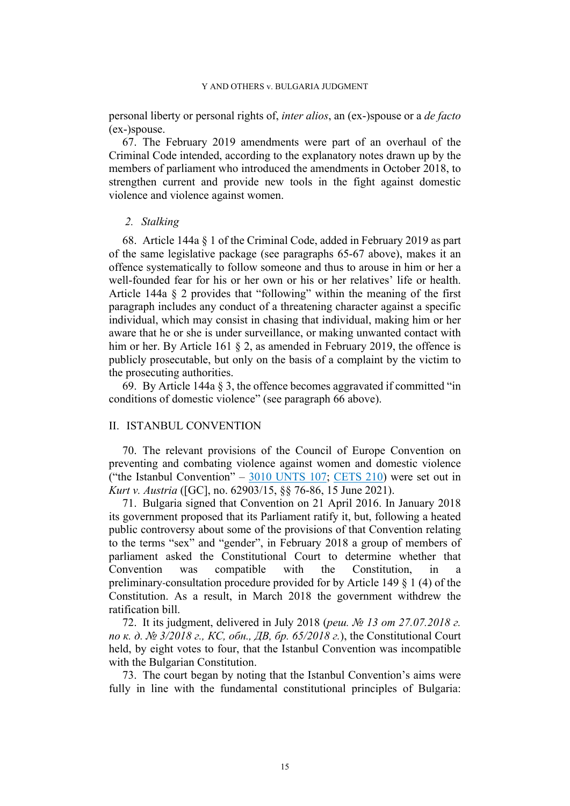personal liberty or personal rights of, *inter alios*, an (ex-)spouse or a *de facto* (ex-)spouse.

<span id="page-16-0"></span>67. The February 2019 amendments were part of an overhaul of the Criminal Code intended, according to the explanatory notes drawn up by the members of parliament who introduced the amendments in October 2018, to strengthen current and provide new tools in the fight against domestic violence and violence against women.

### *2. Stalking*

68. Article 144a § 1 of the Criminal Code, added in February 2019 as part of the same legislative package (see paragraphs [65-](#page-15-1)[67](#page-16-0) above), makes it an offence systematically to follow someone and thus to arouse in him or her a well-founded fear for his or her own or his or her relatives' life or health. Article 144a § 2 provides that "following" within the meaning of the first paragraph includes any conduct of a threatening character against a specific individual, which may consist in chasing that individual, making him or her aware that he or she is under surveillance, or making unwanted contact with him or her. By Article 161 § 2, as amended in February 2019, the offence is publicly prosecutable, but only on the basis of a complaint by the victim to the prosecuting authorities.

<span id="page-16-1"></span>69. By Article 144a § 3, the offence becomes aggravated if committed "in conditions of domestic violence" (see paragraph [66](#page-15-2) above).

# II. ISTANBUL CONVENTION

70. The relevant provisions of the Council of Europe Convention on preventing and combating violence against women and domestic violence ("the Istanbul Convention"  $-3010$  UNTS 107; [CETS 210](https://rm.coe.int/168008482e)) were set out in *Kurt v. Austria* ([GC], no. 62903/15, §§ 76-86, 15 June 2021).

<span id="page-16-2"></span>71. Bulgaria signed that Convention on 21 April 2016. In January 2018 its government proposed that its Parliament ratify it, but, following a heated public controversy about some of the provisions of that Convention relating to the terms "sex" and "gender", in February 2018 a group of members of parliament asked the Constitutional Court to determine whether that Convention was compatible with the Constitution, in a preliminary-consultation procedure provided for by Article 149 § 1 (4) of the Constitution. As a result, in March 2018 the government withdrew the ratification bill.

72. It its judgment, delivered in July 2018 (*реш. № 13 от 27.07.2018 г. по к. д. № 3/2018 г., КС, обн., ДВ, бр. 65/2018 г.*), the Constitutional Court held, by eight votes to four, that the Istanbul Convention was incompatible with the Bulgarian Constitution.

<span id="page-16-3"></span>73. The court began by noting that the Istanbul Convention's aims were fully in line with the fundamental constitutional principles of Bulgaria: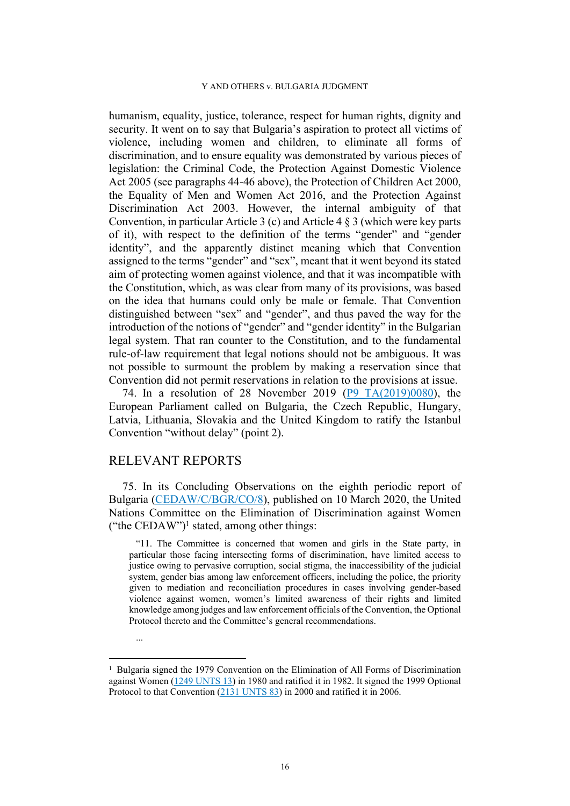humanism, equality, justice, tolerance, respect for human rights, dignity and security. It went on to say that Bulgaria's aspiration to protect all victims of violence, including women and children, to eliminate all forms of discrimination, and to ensure equality was demonstrated by various pieces of legislation: the Criminal Code, the Protection Against Domestic Violence Act 2005 (see paragraphs [44](#page-11-2)[-46](#page-11-3) above), the Protection of Children Act 2000, the Equality of Men and Women Act 2016, and the Protection Against Discrimination Act 2003. However, the internal ambiguity of that Convention, in particular Article 3 (c) and Article 4 § 3 (which were key parts of it), with respect to the definition of the terms "gender" and "gender identity", and the apparently distinct meaning which that Convention assigned to the terms "gender" and "sex", meant that it went beyond its stated aim of protecting women against violence, and that it was incompatible with the Constitution, which, as was clear from many of its provisions, was based on the idea that humans could only be male or female. That Convention distinguished between "sex" and "gender", and thus paved the way for the introduction of the notions of "gender" and "gender identity" in the Bulgarian legal system. That ran counter to the Constitution, and to the fundamental rule-of-law requirement that legal notions should not be ambiguous. It was not possible to surmount the problem by making a reservation since that Convention did not permit reservations in relation to the provisions at issue.

<span id="page-17-1"></span>74. In a resolution of 28 November 2019 [\(P9\\_TA\(2019\)0080\)](https://www.europarl.europa.eu/doceo/document/TA-9-2019-0080_EN.pdf), the European Parliament called on Bulgaria, the Czech Republic, Hungary, Latvia, Lithuania, Slovakia and the United Kingdom to ratify the Istanbul Convention "without delay" (point 2).

# RELEVANT REPORTS

<span id="page-17-0"></span>75. In its Concluding Observations on the eighth periodic report of Bulgaria [\(CEDAW/C/BGR/CO/8](https://digitallibrary.un.org/record/3856604/files/CEDAW_C_BGR_CO_8-EN.pdf)), published on 10 March 2020, the United Nations Committee on the Elimination of Discrimination against Women ("the CEDAW")<sup>1</sup> stated, among other things:

"11. The Committee is concerned that women and girls in the State party, in particular those facing intersecting forms of discrimination, have limited access to justice owing to pervasive corruption, social stigma, the inaccessibility of the judicial system, gender bias among law enforcement officers, including the police, the priority given to mediation and reconciliation procedures in cases involving gender-based violence against women, women's limited awareness of their rights and limited knowledge among judges and law enforcement officials of the Convention, the Optional Protocol thereto and the Committee's general recommendations.

...

<sup>&</sup>lt;sup>1</sup> Bulgaria signed the 1979 Convention on the Elimination of All Forms of Discrimination against Women ([1249 UNTS 13\)](http://treaties.un.org/doc/Publication/UNTS/Volume%201249/v1249.pdf) in 1980 and ratified it in 1982. It signed the 1999 Optional Protocol to that Convention [\(2131 UNTS 83](http://treaties.un.org/doc/Publication/UNTS/Volume%202131/v2131.pdf)) in 2000 and ratified it in 2006.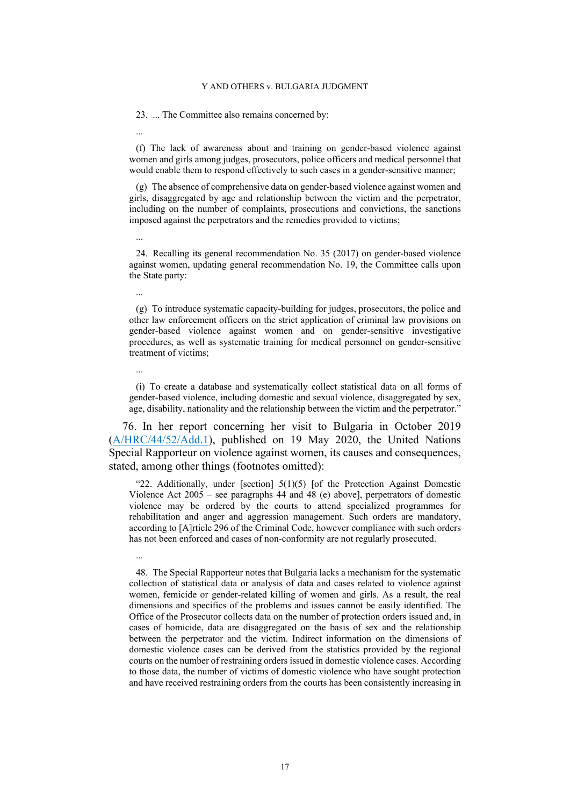23. ... The Committee also remains concerned by:

(f) The lack of awareness about and training on gender-based violence against women and girls among judges, prosecutors, police officers and medical personnel that would enable them to respond effectively to such cases in a gender-sensitive manner;

(g) The absence of comprehensive data on gender-based violence against women and girls, disaggregated by age and relationship between the victim and the perpetrator, including on the number of complaints, prosecutions and convictions, the sanctions imposed against the perpetrators and the remedies provided to victims;

...

...

24. Recalling its general recommendation No. 35 (2017) on gender-based violence against women, updating general recommendation No. 19, the Committee calls upon the State party:

...

(g) To introduce systematic capacity-building for judges, prosecutors, the police and other law enforcement officers on the strict application of criminal law provisions on gender-based violence against women and on gender-sensitive investigative procedures, as well as systematic training for medical personnel on gender-sensitive treatment of victims;

...

...

(i) To create a database and systematically collect statistical data on all forms of gender-based violence, including domestic and sexual violence, disaggregated by sex, age, disability, nationality and the relationship between the victim and the perpetrator."

76. In her report concerning her visit to Bulgaria in October 2019 ([A/HRC/44/52/Add.1](https://digitallibrary.un.org/record/3865686/files/A_HRC_44_52_Add.1-EN.pdf)), published on 19 May 2020, the United Nations Special Rapporteur on violence against women, its causes and consequences, stated, among other things (footnotes omitted):

"22. Additionally, under [section] 5(1)(5) [of the Protection Against Domestic Violence Act 2005 – see paragraphs [44](#page-11-2) and [48](#page-11-1) (e) above], perpetrators of domestic violence may be ordered by the courts to attend specialized programmes for rehabilitation and anger and aggression management. Such orders are mandatory, according to [A]rticle 296 of the Criminal Code, however compliance with such orders has not been enforced and cases of non-conformity are not regularly prosecuted.

48. The Special Rapporteur notes that Bulgaria lacks a mechanism for the systematic collection of statistical data or analysis of data and cases related to violence against women, femicide or gender-related killing of women and girls. As a result, the real dimensions and specifics of the problems and issues cannot be easily identified. The Office of the Prosecutor collects data on the number of protection orders issued and, in cases of homicide, data are disaggregated on the basis of sex and the relationship between the perpetrator and the victim. Indirect information on the dimensions of domestic violence cases can be derived from the statistics provided by the regional courts on the number of restraining orders issued in domestic violence cases. According to those data, the number of victims of domestic violence who have sought protection and have received restraining orders from the courts has been consistently increasing in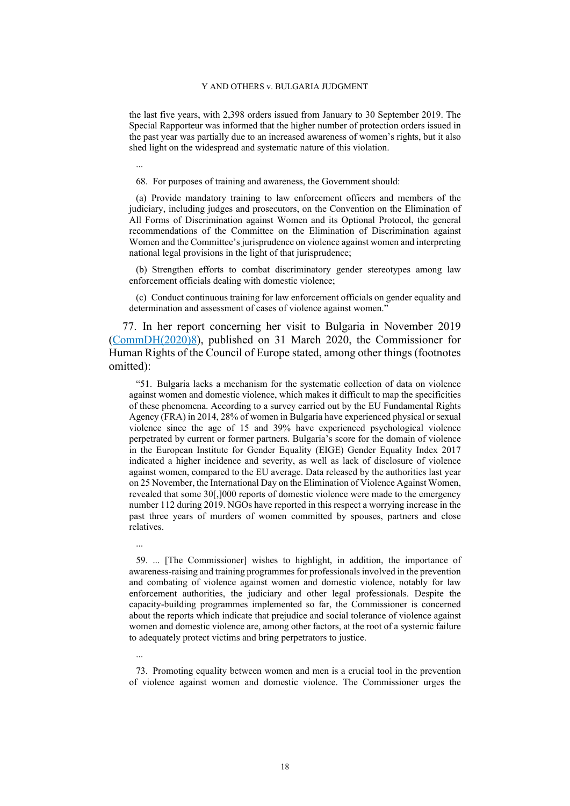the last five years, with 2,398 orders issued from January to 30 September 2019. The Special Rapporteur was informed that the higher number of protection orders issued in the past year was partially due to an increased awareness of women's rights, but it also shed light on the widespread and systematic nature of this violation.

...

68. For purposes of training and awareness, the Government should:

(a) Provide mandatory training to law enforcement officers and members of the judiciary, including judges and prosecutors, on the Convention on the Elimination of All Forms of Discrimination against Women and its Optional Protocol, the general recommendations of the Committee on the Elimination of Discrimination against Women and the Committee's jurisprudence on violence against women and interpreting national legal provisions in the light of that jurisprudence;

(b) Strengthen efforts to combat discriminatory gender stereotypes among law enforcement officials dealing with domestic violence;

(c) Conduct continuous training for law enforcement officials on gender equality and determination and assessment of cases of violence against women."

<span id="page-19-0"></span>77. In her report concerning her visit to Bulgaria in November 2019 ([CommDH\(2020\)8\)](https://rm.coe.int/report-on-the-visit-to-bulgaria-from-25-to-29-november-2019-by-dunja-m/16809cde16), published on 31 March 2020, the Commissioner for Human Rights of the Council of Europe stated, among other things (footnotes omitted):

"51. Bulgaria lacks a mechanism for the systematic collection of data on violence against women and domestic violence, which makes it difficult to map the specificities of these phenomena. According to a survey carried out by the EU Fundamental Rights Agency (FRA) in 2014, 28% of women in Bulgaria have experienced physical or sexual violence since the age of 15 and 39% have experienced psychological violence perpetrated by current or former partners. Bulgaria's score for the domain of violence in the European Institute for Gender Equality (EIGE) Gender Equality Index 2017 indicated a higher incidence and severity, as well as lack of disclosure of violence against women, compared to the EU average. Data released by the authorities last year on 25 November, the International Day on the Elimination of Violence Against Women, revealed that some 30[,]000 reports of domestic violence were made to the emergency number 112 during 2019. NGOs have reported in this respect a worrying increase in the past three years of murders of women committed by spouses, partners and close relatives.

...

59. ... [The Commissioner] wishes to highlight, in addition, the importance of awareness-raising and training programmes for professionals involved in the prevention and combating of violence against women and domestic violence, notably for law enforcement authorities, the judiciary and other legal professionals. Despite the capacity-building programmes implemented so far, the Commissioner is concerned about the reports which indicate that prejudice and social tolerance of violence against women and domestic violence are, among other factors, at the root of a systemic failure to adequately protect victims and bring perpetrators to justice.

...

73. Promoting equality between women and men is a crucial tool in the prevention of violence against women and domestic violence. The Commissioner urges the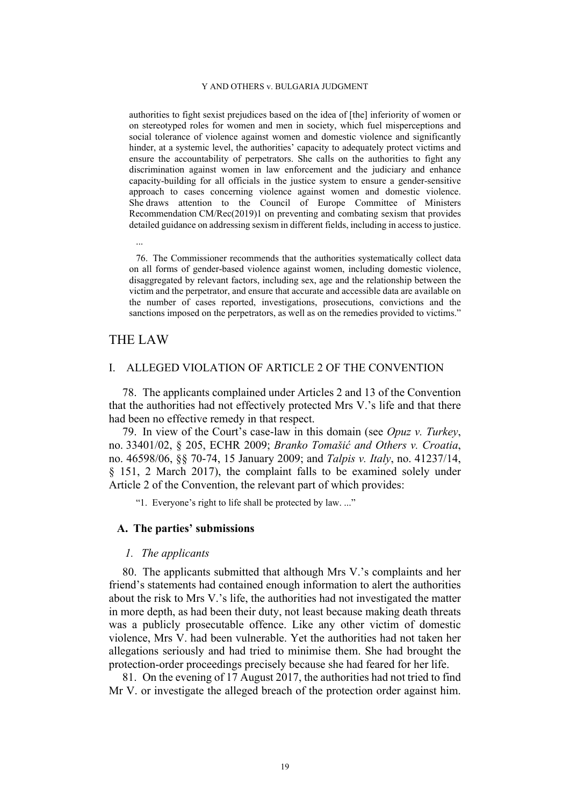authorities to fight sexist prejudices based on the idea of [the] inferiority of women or on stereotyped roles for women and men in society, which fuel misperceptions and social tolerance of violence against women and domestic violence and significantly hinder, at a systemic level, the authorities' capacity to adequately protect victims and ensure the accountability of perpetrators. She calls on the authorities to fight any discrimination against women in law enforcement and the judiciary and enhance capacity-building for all officials in the justice system to ensure a gender-sensitive approach to cases concerning violence against women and domestic violence. She draws attention to the Council of Europe Committee of Ministers Recommendation CM/Rec(2019)1 on preventing and combating sexism that provides detailed guidance on addressing sexism in different fields, including in access to justice.

76. The Commissioner recommends that the authorities systematically collect data on all forms of gender-based violence against women, including domestic violence, disaggregated by relevant factors, including sex, age and the relationship between the victim and the perpetrator, and ensure that accurate and accessible data are available on the number of cases reported, investigations, prosecutions, convictions and the sanctions imposed on the perpetrators, as well as on the remedies provided to victims."

# THE LAW

...

### I. ALLEGED VIOLATION OF ARTICLE 2 OF THE CONVENTION

78. The applicants complained under Articles 2 and 13 of the Convention that the authorities had not effectively protected Mrs V.'s life and that there had been no effective remedy in that respect.

79. In view of the Court's case-law in this domain (see *Opuz v. Turkey*, no. 33401/02, § 205, ECHR 2009; *Branko Tomašić and Others v. Croatia*, no. 46598/06, §§ 70-74, 15 January 2009; and *Talpis v. Italy*, no. 41237/14, § 151, 2 March 2017), the complaint falls to be examined solely under Article 2 of the Convention, the relevant part of which provides:

"1. Everyone's right to life shall be protected by law. ..."

## **A. The parties' submissions**

#### *1. The applicants*

80. The applicants submitted that although Mrs V.'s complaints and her friend's statements had contained enough information to alert the authorities about the risk to Mrs V.'s life, the authorities had not investigated the matter in more depth, as had been their duty, not least because making death threats was a publicly prosecutable offence. Like any other victim of domestic violence, Mrs V. had been vulnerable. Yet the authorities had not taken her allegations seriously and had tried to minimise them. She had brought the protection-order proceedings precisely because she had feared for her life.

81. On the evening of 17 August 2017, the authorities had not tried to find Mr V. or investigate the alleged breach of the protection order against him.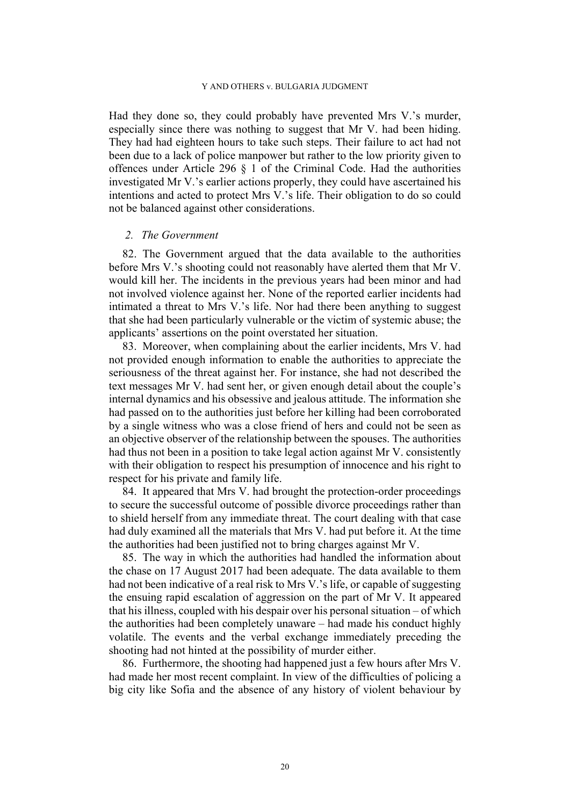Had they done so, they could probably have prevented Mrs V.'s murder, especially since there was nothing to suggest that Mr V. had been hiding. They had had eighteen hours to take such steps. Their failure to act had not been due to a lack of police manpower but rather to the low priority given to offences under Article 296 § 1 of the Criminal Code. Had the authorities investigated Mr V.'s earlier actions properly, they could have ascertained his intentions and acted to protect Mrs V.'s life. Their obligation to do so could not be balanced against other considerations.

### *2. The Government*

82. The Government argued that the data available to the authorities before Mrs V.'s shooting could not reasonably have alerted them that Mr V. would kill her. The incidents in the previous years had been minor and had not involved violence against her. None of the reported earlier incidents had intimated a threat to Mrs V.'s life. Nor had there been anything to suggest that she had been particularly vulnerable or the victim of systemic abuse; the applicants' assertions on the point overstated her situation.

83. Moreover, when complaining about the earlier incidents, Mrs V. had not provided enough information to enable the authorities to appreciate the seriousness of the threat against her. For instance, she had not described the text messages Mr V. had sent her, or given enough detail about the couple's internal dynamics and his obsessive and jealous attitude. The information she had passed on to the authorities just before her killing had been corroborated by a single witness who was a close friend of hers and could not be seen as an objective observer of the relationship between the spouses. The authorities had thus not been in a position to take legal action against Mr V. consistently with their obligation to respect his presumption of innocence and his right to respect for his private and family life.

84. It appeared that Mrs V. had brought the protection-order proceedings to secure the successful outcome of possible divorce proceedings rather than to shield herself from any immediate threat. The court dealing with that case had duly examined all the materials that Mrs V. had put before it. At the time the authorities had been justified not to bring charges against Mr V.

85. The way in which the authorities had handled the information about the chase on 17 August 2017 had been adequate. The data available to them had not been indicative of a real risk to Mrs V.'s life, or capable of suggesting the ensuing rapid escalation of aggression on the part of Mr V. It appeared that his illness, coupled with his despair over his personal situation – of which the authorities had been completely unaware – had made his conduct highly volatile. The events and the verbal exchange immediately preceding the shooting had not hinted at the possibility of murder either.

86. Furthermore, the shooting had happened just a few hours after Mrs V. had made her most recent complaint. In view of the difficulties of policing a big city like Sofia and the absence of any history of violent behaviour by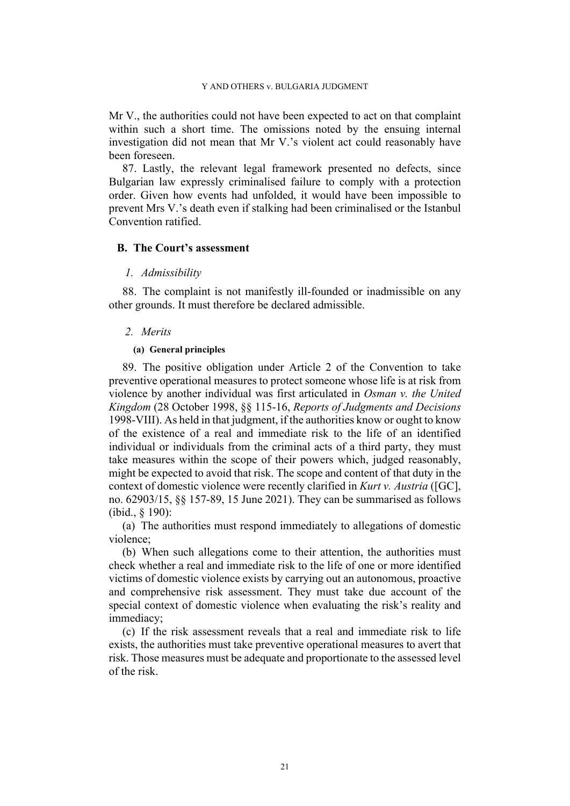Mr V., the authorities could not have been expected to act on that complaint within such a short time. The omissions noted by the ensuing internal investigation did not mean that Mr V.'s violent act could reasonably have been foreseen.

87. Lastly, the relevant legal framework presented no defects, since Bulgarian law expressly criminalised failure to comply with a protection order. Given how events had unfolded, it would have been impossible to prevent Mrs V.'s death even if stalking had been criminalised or the Istanbul Convention ratified.

# **B. The Court's assessment**

### *1. Admissibility*

88. The complaint is not manifestly ill-founded or inadmissible on any other grounds. It must therefore be declared admissible.

### *2. Merits*

### **(a) General principles**

89. The positive obligation under Article 2 of the Convention to take preventive operational measures to protect someone whose life is at risk from violence by another individual was first articulated in *Osman v. the United Kingdom* (28 October 1998, §§ 115-16, *Reports of Judgments and Decisions* 1998-VIII). As held in that judgment, if the authorities know or ought to know of the existence of a real and immediate risk to the life of an identified individual or individuals from the criminal acts of a third party, they must take measures within the scope of their powers which, judged reasonably, might be expected to avoid that risk. The scope and content of that duty in the context of domestic violence were recently clarified in *Kurt v. Austria* ([GC], no. 62903/15, §§ 157-89, 15 June 2021). They can be summarised as follows (ibid., § 190):

(a) The authorities must respond immediately to allegations of domestic violence;

(b) When such allegations come to their attention, the authorities must check whether a real and immediate risk to the life of one or more identified victims of domestic violence exists by carrying out an autonomous, proactive and comprehensive risk assessment. They must take due account of the special context of domestic violence when evaluating the risk's reality and immediacy;

(c) If the risk assessment reveals that a real and immediate risk to life exists, the authorities must take preventive operational measures to avert that risk. Those measures must be adequate and proportionate to the assessed level of the risk.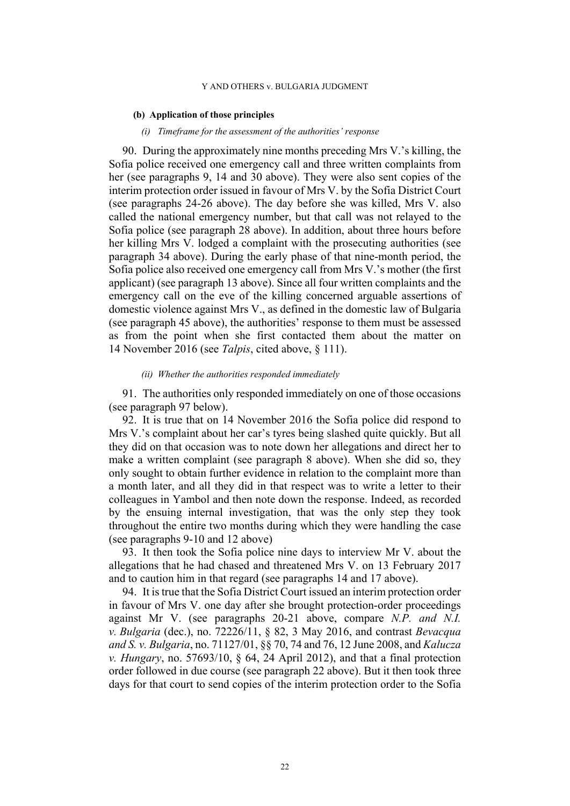### **(b) Application of those principles**

### *(i) Timeframe for the assessment of the authorities' response*

90. During the approximately nine months preceding Mrs V.'s killing, the Sofia police received one emergency call and three written complaints from her (see paragraphs [9](#page-3-0), [14](#page-5-0) and [30](#page-8-1) above). They were also sent copies of the interim protection order issued in favour of Mrs V. by the Sofia District Court (see paragraphs [24](#page-7-2)[-26](#page-7-0) above). The day before she was killed, Mrs V. also called the national emergency number, but that call was not relayed to the Sofia police (see paragraph [28](#page-7-3) above). In addition, about three hours before her killing Mrs V. lodged a complaint with the prosecuting authorities (see paragraph [34](#page-9-0) above). During the early phase of that nine-month period, the Sofia police also received one emergency call from Mrs V.'s mother (the first applicant) (see paragraph [13](#page-4-0) above). Since all four written complaints and the emergency call on the eve of the killing concerned arguable assertions of domestic violence against Mrs V., as defined in the domestic law of Bulgaria (see paragraph [45](#page-11-4) above), the authorities' response to them must be assessed as from the point when she first contacted them about the matter on 14 November 2016 (see *Talpis*, cited above, § 111).

### *(ii) Whether the authorities responded immediately*

<span id="page-23-0"></span>91. The authorities only responded immediately on one of those occasions (see paragraph [97](#page-24-0) below).

92. It is true that on 14 November 2016 the Sofia police did respond to Mrs V.'s complaint about her car's tyres being slashed quite quickly. But all they did on that occasion was to note down her allegations and direct her to make a written complaint (see paragraph [8](#page-3-1) above). When she did so, they only sought to obtain further evidence in relation to the complaint more than a month later, and all they did in that respect was to write a letter to their colleagues in Yambol and then note down the response. Indeed, as recorded by the ensuing internal investigation, that was the only step they took throughout the entire two months during which they were handling the case (see paragraphs [9-](#page-3-0)[10](#page-4-2) and [12](#page-4-1) above)

93. It then took the Sofia police nine days to interview Mr V. about the allegations that he had chased and threatened Mrs V. on 13 February 2017 and to caution him in that regard (see paragraphs [14](#page-5-0) and [17](#page-5-1) above).

94. It is true that the Sofia District Court issued an interim protection order in favour of Mrs V. one day after she brought protection-order proceedings against Mr V. (see paragraphs [20-](#page-6-3)[21](#page-6-0) above, compare *N.P. and N.I. v. Bulgaria* (dec.), no. 72226/11, § 82, 3 May 2016, and contrast *Bevacqua and S. v. Bulgaria*, no. 71127/01, §§ 70, 74 and 76, 12 June 2008, and *Kalucza v. Hungary*, no. 57693/10, § 64, 24 April 2012), and that a final protection order followed in due course (see paragraph [22](#page-6-1) above). But it then took three days for that court to send copies of the interim protection order to the Sofia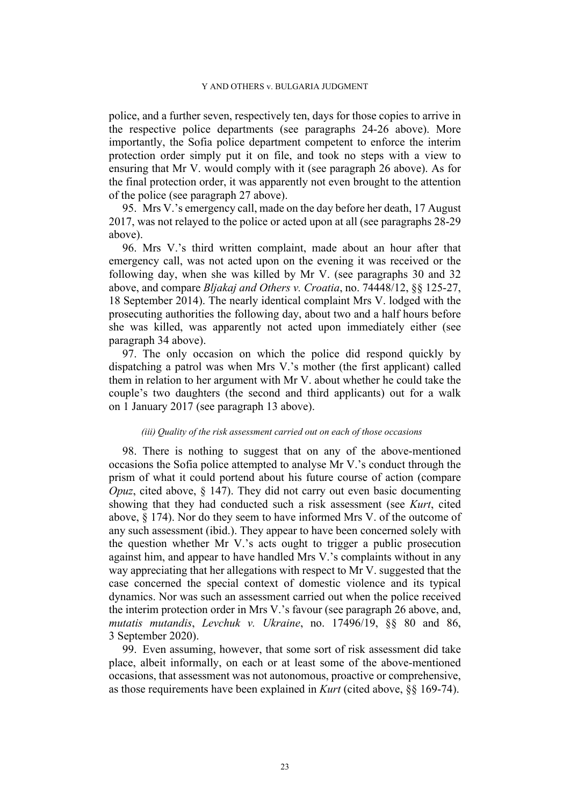police, and a further seven, respectively ten, days for those copies to arrive in the respective police departments (see paragraphs [24](#page-7-2)[-26](#page-7-0) above). More importantly, the Sofia police department competent to enforce the interim protection order simply put it on file, and took no steps with a view to ensuring that Mr V. would comply with it (see paragraph [26](#page-7-0) above). As for the final protection order, it was apparently not even brought to the attention of the police (see paragraph [27](#page-7-1) above).

95. Mrs V.'s emergency call, made on the day before her death, 17 August 2017, was not relayed to the police or acted upon at all (see paragraphs [28-](#page-7-3)[29](#page-8-2)  above).

96. Mrs V.'s third written complaint, made about an hour after that emergency call, was not acted upon on the evening it was received or the following day, when she was killed by Mr V. (see paragraphs [30](#page-8-1) and [32](#page-8-3)  above, and compare *Bljakaj and Others v. Croatia*, no. 74448/12, §§ 125-27, 18 September 2014). The nearly identical complaint Mrs V. lodged with the prosecuting authorities the following day, about two and a half hours before she was killed, was apparently not acted upon immediately either (see paragraph [34](#page-9-0) above).

<span id="page-24-0"></span>97. The only occasion on which the police did respond quickly by dispatching a patrol was when Mrs V.'s mother (the first applicant) called them in relation to her argument with Mr V. about whether he could take the couple's two daughters (the second and third applicants) out for a walk on 1 January 2017 (see paragraph [13](#page-4-0) above).

#### *(iii) Quality of the risk assessment carried out on each of those occasions*

98. There is nothing to suggest that on any of the above-mentioned occasions the Sofia police attempted to analyse Mr V.'s conduct through the prism of what it could portend about his future course of action (compare *Opuz*, cited above, § 147). They did not carry out even basic documenting showing that they had conducted such a risk assessment (see *Kurt*, cited above, § 174). Nor do they seem to have informed Mrs V. of the outcome of any such assessment (ibid.). They appear to have been concerned solely with the question whether Mr V.'s acts ought to trigger a public prosecution against him, and appear to have handled Mrs V.'s complaints without in any way appreciating that her allegations with respect to Mr V. suggested that the case concerned the special context of domestic violence and its typical dynamics. Nor was such an assessment carried out when the police received the interim protection order in Mrs V.'s favour (see paragraph [26](#page-7-0) above, and, *mutatis mutandis*, *Levchuk v. Ukraine*, no. 17496/19, §§ 80 and 86, 3 September 2020).

99. Even assuming, however, that some sort of risk assessment did take place, albeit informally, on each or at least some of the above-mentioned occasions, that assessment was not autonomous, proactive or comprehensive, as those requirements have been explained in *Kurt* (cited above, §§ 169-74).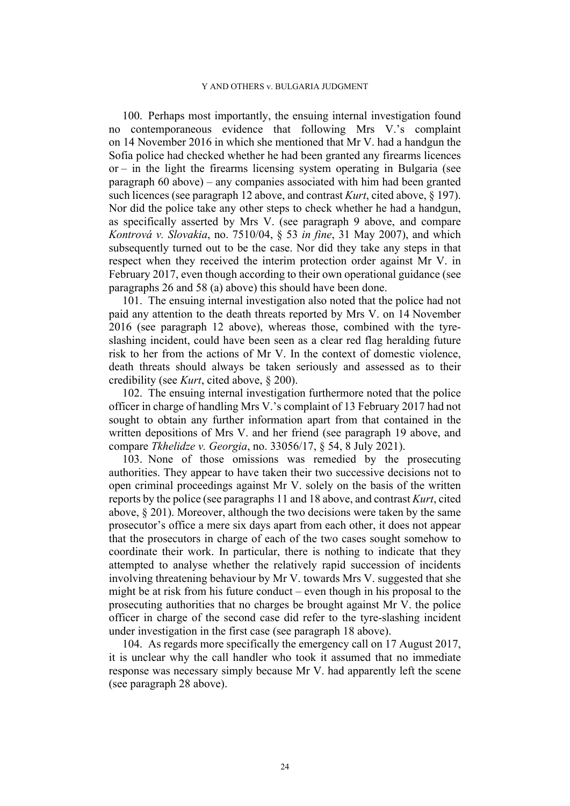100. Perhaps most importantly, the ensuing internal investigation found no contemporaneous evidence that following Mrs V.'s complaint on 14 November 2016 in which she mentioned that Mr V. had a handgun the Sofia police had checked whether he had been granted any firearms licences or – in the light the firearms licensing system operating in Bulgaria (see paragraph [60](#page-14-0) above) – any companies associated with him had been granted such licences (see paragraph [12](#page-4-1) above, and contrast *Kurt*, cited above, § 197). Nor did the police take any other steps to check whether he had a handgun, as specifically asserted by Mrs V. (see paragraph [9](#page-3-0) above, and compare *Kontrová v. Slovakia*, no. 7510/04, § 53 *in fine*, 31 May 2007), and which subsequently turned out to be the case. Nor did they take any steps in that respect when they received the interim protection order against Mr V. in February 2017, even though according to their own operational guidance (see paragraphs [26](#page-7-0) and [58](#page-14-1) (a) above) this should have been done.

101. The ensuing internal investigation also noted that the police had not paid any attention to the death threats reported by Mrs V. on 14 November 2016 (see paragraph [12](#page-4-1) above), whereas those, combined with the tyreslashing incident, could have been seen as a clear red flag heralding future risk to her from the actions of Mr V. In the context of domestic violence, death threats should always be taken seriously and assessed as to their credibility (see *Kurt*, cited above, § 200).

102. The ensuing internal investigation furthermore noted that the police officer in charge of handling Mrs V.'s complaint of 13 February 2017 had not sought to obtain any further information apart from that contained in the written depositions of Mrs V. and her friend (see paragraph [19](#page-6-2) above, and compare *Tkhelidze v. Georgia*, no. 33056/17, § 54, 8 July 2021).

103. None of those omissions was remedied by the prosecuting authorities. They appear to have taken their two successive decisions not to open criminal proceedings against Mr V. solely on the basis of the written reports by the police (see paragraphs [11](#page-4-3) and [18](#page-5-2) above, and contrast *Kurt*, cited above, § 201). Moreover, although the two decisions were taken by the same prosecutor's office a mere six days apart from each other, it does not appear that the prosecutors in charge of each of the two cases sought somehow to coordinate their work. In particular, there is nothing to indicate that they attempted to analyse whether the relatively rapid succession of incidents involving threatening behaviour by Mr V. towards Mrs V. suggested that she might be at risk from his future conduct – even though in his proposal to the prosecuting authorities that no charges be brought against Mr V. the police officer in charge of the second case did refer to the tyre-slashing incident under investigation in the first case (see paragraph [18](#page-5-2) above).

104. As regards more specifically the emergency call on 17 August 2017, it is unclear why the call handler who took it assumed that no immediate response was necessary simply because Mr V. had apparently left the scene (see paragraph [28](#page-7-3) above).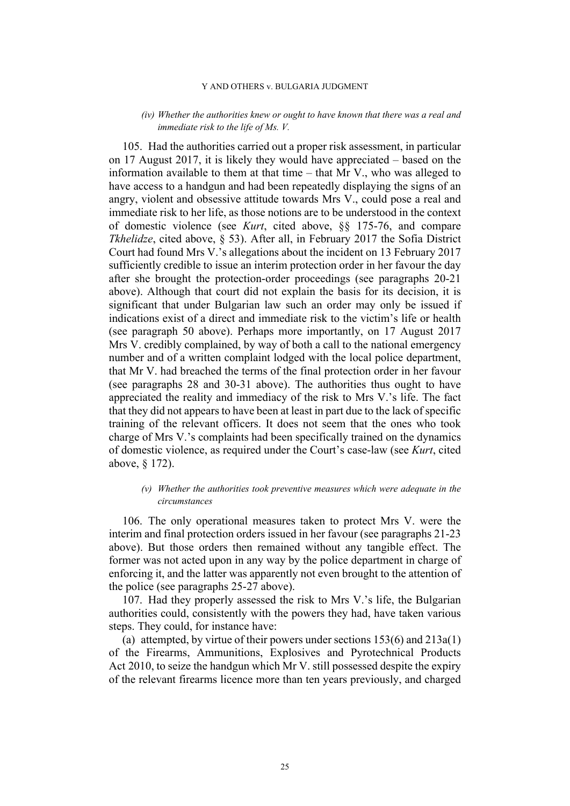### *(iv) Whether the authorities knew or ought to have known that there was a real and immediate risk to the life of Ms. V.*

105. Had the authorities carried out a proper risk assessment, in particular on 17 August 2017, it is likely they would have appreciated – based on the information available to them at that time – that Mr V., who was alleged to have access to a handgun and had been repeatedly displaying the signs of an angry, violent and obsessive attitude towards Mrs V., could pose a real and immediate risk to her life, as those notions are to be understood in the context of domestic violence (see *Kurt*, cited above, §§ 175-76, and compare *Tkhelidze*, cited above, § 53). After all, in February 2017 the Sofia District Court had found Mrs V.'s allegations about the incident on 13 February 2017 sufficiently credible to issue an interim protection order in her favour the day after she brought the protection-order proceedings (see paragraphs [20-](#page-6-3)[21](#page-6-0)  above). Although that court did not explain the basis for its decision, it is significant that under Bulgarian law such an order may only be issued if indications exist of a direct and immediate risk to the victim's life or health (see paragraph [50](#page-12-0) above). Perhaps more importantly, on 17 August 2017 Mrs V. credibly complained, by way of both a call to the national emergency number and of a written complaint lodged with the local police department, that Mr V. had breached the terms of the final protection order in her favour (see paragraphs [28](#page-7-3) and [30-](#page-8-1)[31](#page-8-4) above). The authorities thus ought to have appreciated the reality and immediacy of the risk to Mrs V.'s life. The fact that they did not appears to have been at least in part due to the lack of specific training of the relevant officers. It does not seem that the ones who took charge of Mrs V.'s complaints had been specifically trained on the dynamics of domestic violence, as required under the Court's case-law (see *Kurt*, cited above, § 172).

### *(v) Whether the authorities took preventive measures which were adequate in the circumstances*

106. The only operational measures taken to protect Mrs V. were the interim and final protection orders issued in her favour (see paragraphs [21-](#page-6-0)[23](#page-7-4)  above). But those orders then remained without any tangible effect. The former was not acted upon in any way by the police department in charge of enforcing it, and the latter was apparently not even brought to the attention of the police (see paragraphs [25-](#page-7-5)[27](#page-7-1) above).

<span id="page-26-0"></span>107. Had they properly assessed the risk to Mrs V.'s life, the Bulgarian authorities could, consistently with the powers they had, have taken various steps. They could, for instance have:

(a) attempted, by virtue of their powers under sections 153(6) and 213a(1) of the Firearms, Ammunitions, Explosives and Pyrotechnical Products Act 2010, to seize the handgun which Mr V. still possessed despite the expiry of the relevant firearms licence more than ten years previously, and charged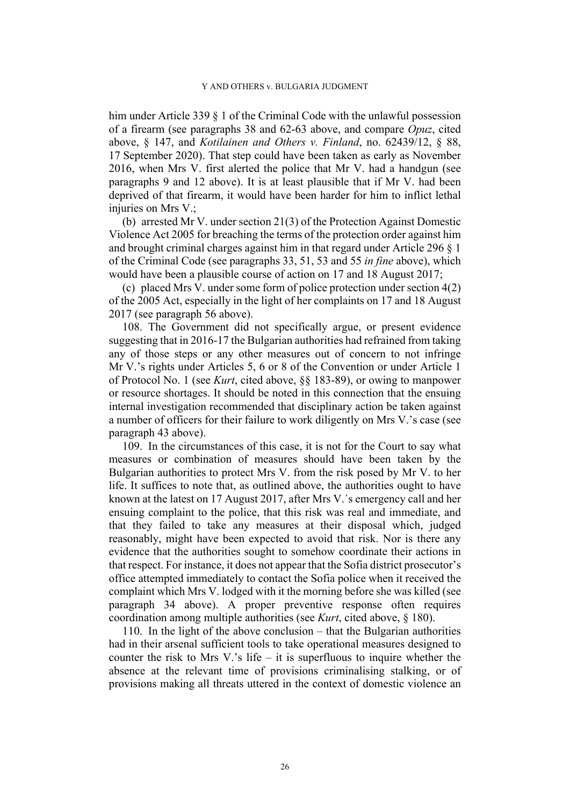him under Article 339 § 1 of the Criminal Code with the unlawful possession of a firearm (see paragraphs [38](#page-9-1) and [62](#page-15-3)[-63](#page-15-4) above, and compare *Opuz*, cited above, § 147, and *Kotilainen and Others v. Finland*, no. 62439/12, § 88, 17 September 2020). That step could have been taken as early as November 2016, when Mrs V. first alerted the police that Mr V. had a handgun (see paragraphs [9](#page-3-0) and [12](#page-4-1) above). It is at least plausible that if Mr V. had been deprived of that firearm, it would have been harder for him to inflict lethal injuries on Mrs V.:

(b) arrested Mr V. under section 21(3) of the Protection Against Domestic Violence Act 2005 for breaching the terms of the protection order against him and brought criminal charges against him in that regard under Article 296 § 1 of the Criminal Code (see paragraphs [33](#page-8-0), [51](#page-12-2), [53](#page-13-0) and [55](#page-13-1) *in fine* above), which would have been a plausible course of action on 17 and 18 August 2017;

(c) placed Mrs V. under some form of police protection under section 4(2) of the 2005 Act, especially in the light of her complaints on 17 and 18 August 2017 (see paragraph [56](#page-13-2) above).

108. The Government did not specifically argue, or present evidence suggesting that in 2016-17 the Bulgarian authorities had refrained from taking any of those steps or any other measures out of concern to not infringe Mr V.'s rights under Articles 5, 6 or 8 of the Convention or under Article 1 of Protocol No. 1 (see *Kurt*, cited above, §§ 183-89), or owing to manpower or resource shortages. It should be noted in this connection that the ensuing internal investigation recommended that disciplinary action be taken against a number of officers for their failure to work diligently on Mrs V.'s case (see paragraph [43](#page-10-1) above).

109. In the circumstances of this case, it is not for the Court to say what measures or combination of measures should have been taken by the Bulgarian authorities to protect Mrs V. from the risk posed by Mr V. to her life. It suffices to note that, as outlined above, the authorities ought to have known at the latest on 17 August 2017, after Mrs V.´s emergency call and her ensuing complaint to the police, that this risk was real and immediate, and that they failed to take any measures at their disposal which, judged reasonably, might have been expected to avoid that risk. Nor is there any evidence that the authorities sought to somehow coordinate their actions in that respect. For instance, it does not appear that the Sofia district prosecutor's office attempted immediately to contact the Sofia police when it received the complaint which Mrs V. lodged with it the morning before she was killed (see paragraph [34](#page-9-0) above). A proper preventive response often requires coordination among multiple authorities (see *Kurt*, cited above, § 180).

110. In the light of the above conclusion – that the Bulgarian authorities had in their arsenal sufficient tools to take operational measures designed to counter the risk to Mrs V.'s life – it is superfluous to inquire whether the absence at the relevant time of provisions criminalising stalking, or of provisions making all threats uttered in the context of domestic violence an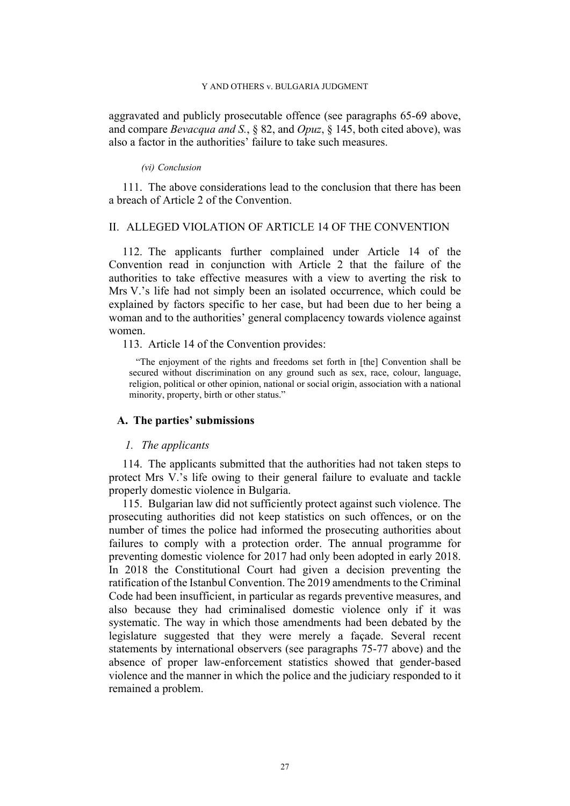aggravated and publicly prosecutable offence (see paragraphs [65](#page-15-1)[-69](#page-16-1) above, and compare *Bevacqua and S.*, § 82, and *Opuz*, § 145, both cited above), was also a factor in the authorities' failure to take such measures.

### *(vi) Conclusion*

<span id="page-28-0"></span>111. The above considerations lead to the conclusion that there has been a breach of Article 2 of the Convention.

# II. ALLEGED VIOLATION OF ARTICLE 14 OF THE CONVENTION

112. The applicants further complained under Article 14 of the Convention read in conjunction with Article 2 that the failure of the authorities to take effective measures with a view to averting the risk to Mrs V.'s life had not simply been an isolated occurrence, which could be explained by factors specific to her case, but had been due to her being a woman and to the authorities' general complacency towards violence against women.

113. Article 14 of the Convention provides:

"The enjoyment of the rights and freedoms set forth in [the] Convention shall be secured without discrimination on any ground such as sex, race, colour, language, religion, political or other opinion, national or social origin, association with a national minority, property, birth or other status."

### **A. The parties' submissions**

### *1. The applicants*

114. The applicants submitted that the authorities had not taken steps to protect Mrs V.'s life owing to their general failure to evaluate and tackle properly domestic violence in Bulgaria.

115. Bulgarian law did not sufficiently protect against such violence. The prosecuting authorities did not keep statistics on such offences, or on the number of times the police had informed the prosecuting authorities about failures to comply with a protection order. The annual programme for preventing domestic violence for 2017 had only been adopted in early 2018. In 2018 the Constitutional Court had given a decision preventing the ratification of the Istanbul Convention. The 2019 amendments to the Criminal Code had been insufficient, in particular as regards preventive measures, and also because they had criminalised domestic violence only if it was systematic. The way in which those amendments had been debated by the legislature suggested that they were merely a façade. Several recent statements by international observers (see paragraphs [75-](#page-17-0)[77](#page-19-0) above) and the absence of proper law-enforcement statistics showed that gender-based violence and the manner in which the police and the judiciary responded to it remained a problem.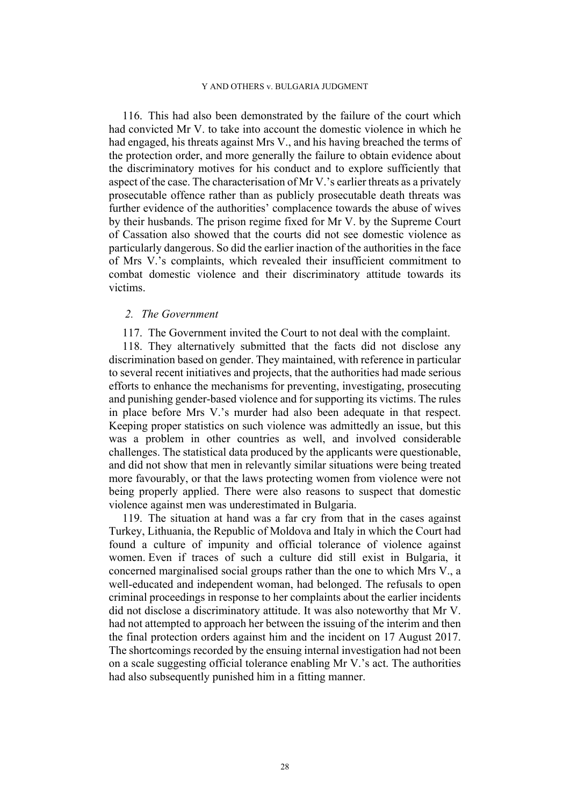116. This had also been demonstrated by the failure of the court which had convicted Mr V. to take into account the domestic violence in which he had engaged, his threats against Mrs V., and his having breached the terms of the protection order, and more generally the failure to obtain evidence about the discriminatory motives for his conduct and to explore sufficiently that aspect of the case. The characterisation of Mr V.'s earlier threats as a privately prosecutable offence rather than as publicly prosecutable death threats was further evidence of the authorities' complacence towards the abuse of wives by their husbands. The prison regime fixed for Mr V. by the Supreme Court of Cassation also showed that the courts did not see domestic violence as particularly dangerous. So did the earlier inaction of the authorities in the face of Mrs V.'s complaints, which revealed their insufficient commitment to combat domestic violence and their discriminatory attitude towards its victims.

### *2. The Government*

117. The Government invited the Court to not deal with the complaint.

118. They alternatively submitted that the facts did not disclose any discrimination based on gender. They maintained, with reference in particular to several recent initiatives and projects, that the authorities had made serious efforts to enhance the mechanisms for preventing, investigating, prosecuting and punishing gender-based violence and for supporting its victims. The rules in place before Mrs V.'s murder had also been adequate in that respect. Keeping proper statistics on such violence was admittedly an issue, but this was a problem in other countries as well, and involved considerable challenges. The statistical data produced by the applicants were questionable, and did not show that men in relevantly similar situations were being treated more favourably, or that the laws protecting women from violence were not being properly applied. There were also reasons to suspect that domestic violence against men was underestimated in Bulgaria.

119. The situation at hand was a far cry from that in the cases against Turkey, Lithuania, the Republic of Moldova and Italy in which the Court had found a culture of impunity and official tolerance of violence against women. Even if traces of such a culture did still exist in Bulgaria, it concerned marginalised social groups rather than the one to which Mrs V., a well-educated and independent woman, had belonged. The refusals to open criminal proceedings in response to her complaints about the earlier incidents did not disclose a discriminatory attitude. It was also noteworthy that Mr V. had not attempted to approach her between the issuing of the interim and then the final protection orders against him and the incident on 17 August 2017. The shortcomings recorded by the ensuing internal investigation had not been on a scale suggesting official tolerance enabling Mr V.'s act. The authorities had also subsequently punished him in a fitting manner.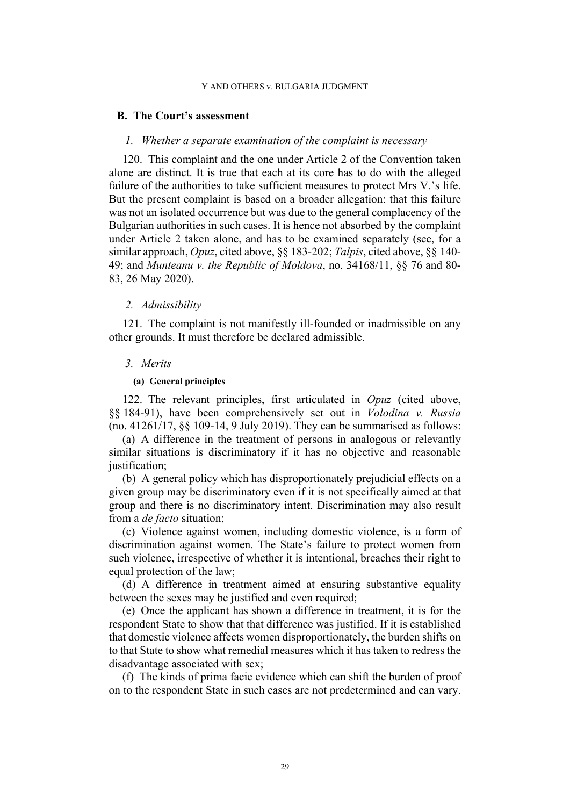### **B. The Court's assessment**

### *1. Whether a separate examination of the complaint is necessary*

120. This complaint and the one under Article 2 of the Convention taken alone are distinct. It is true that each at its core has to do with the alleged failure of the authorities to take sufficient measures to protect Mrs V.'s life. But the present complaint is based on a broader allegation: that this failure was not an isolated occurrence but was due to the general complacency of the Bulgarian authorities in such cases. It is hence not absorbed by the complaint under Article 2 taken alone, and has to be examined separately (see, for a similar approach, *Opuz*, cited above, §§ 183-202; *Talpis*, cited above, §§ 140- 49; and *Munteanu v. the Republic of Moldova*, no. 34168/11, §§ 76 and 80- 83, 26 May 2020).

#### *2. Admissibility*

121. The complaint is not manifestly ill-founded or inadmissible on any other grounds. It must therefore be declared admissible.

### *3. Merits*

## **(a) General principles**

<span id="page-30-0"></span>122. The relevant principles, first articulated in *Opuz* (cited above, §§ 184-91), have been comprehensively set out in *Volodina v. Russia* (no. 41261/17, §§ 109-14, 9 July 2019). They can be summarised as follows:

(a) A difference in the treatment of persons in analogous or relevantly similar situations is discriminatory if it has no objective and reasonable justification;

(b) A general policy which has disproportionately prejudicial effects on a given group may be discriminatory even if it is not specifically aimed at that group and there is no discriminatory intent. Discrimination may also result from a *de facto* situation;

(c) Violence against women, including domestic violence, is a form of discrimination against women. The State's failure to protect women from such violence, irrespective of whether it is intentional, breaches their right to equal protection of the law;

(d) A difference in treatment aimed at ensuring substantive equality between the sexes may be justified and even required;

(e) Once the applicant has shown a difference in treatment, it is for the respondent State to show that that difference was justified. If it is established that domestic violence affects women disproportionately, the burden shifts on to that State to show what remedial measures which it has taken to redress the disadvantage associated with sex;

(f) The kinds of prima facie evidence which can shift the burden of proof on to the respondent State in such cases are not predetermined and can vary.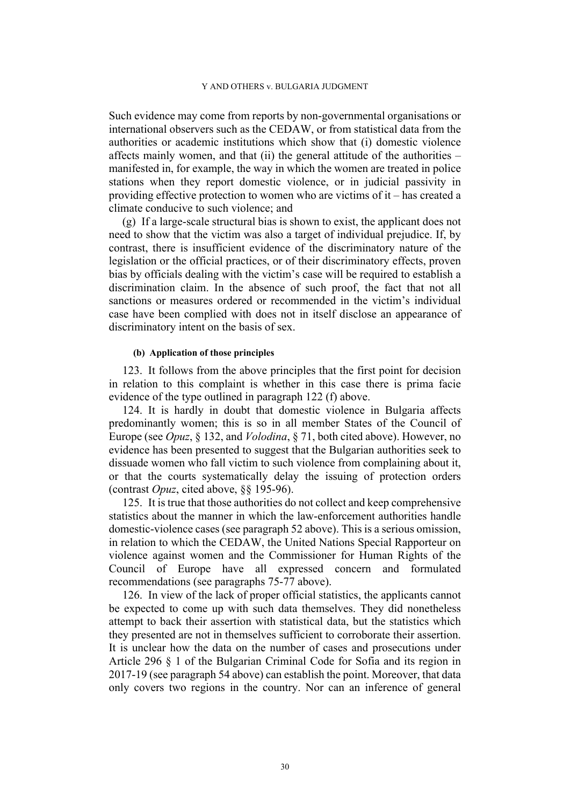Such evidence may come from reports by non-governmental organisations or international observers such as the CEDAW, or from statistical data from the authorities or academic institutions which show that (i) domestic violence affects mainly women, and that (ii) the general attitude of the authorities – manifested in, for example, the way in which the women are treated in police stations when they report domestic violence, or in judicial passivity in providing effective protection to women who are victims of it – has created a climate conducive to such violence; and

(g) If a large-scale structural bias is shown to exist, the applicant does not need to show that the victim was also a target of individual prejudice. If, by contrast, there is insufficient evidence of the discriminatory nature of the legislation or the official practices, or of their discriminatory effects, proven bias by officials dealing with the victim's case will be required to establish a discrimination claim. In the absence of such proof, the fact that not all sanctions or measures ordered or recommended in the victim's individual case have been complied with does not in itself disclose an appearance of discriminatory intent on the basis of sex.

### **(b) Application of those principles**

123. It follows from the above principles that the first point for decision in relation to this complaint is whether in this case there is prima facie evidence of the type outlined in paragraph [122](#page-30-0) (f) above.

124. It is hardly in doubt that domestic violence in Bulgaria affects predominantly women; this is so in all member States of the Council of Europe (see *Opuz*, § 132, and *Volodina*, § 71, both cited above). However, no evidence has been presented to suggest that the Bulgarian authorities seek to dissuade women who fall victim to such violence from complaining about it, or that the courts systematically delay the issuing of protection orders (contrast *Opuz*, cited above, §§ 195-96).

125. It is true that those authorities do not collect and keep comprehensive statistics about the manner in which the law-enforcement authorities handle domestic-violence cases (see paragraph [52](#page-12-3) above). This is a serious omission, in relation to which the CEDAW, the United Nations Special Rapporteur on violence against women and the Commissioner for Human Rights of the Council of Europe have all expressed concern and formulated recommendations (see paragraphs [75-](#page-17-0)[77](#page-19-0) above).

126. In view of the lack of proper official statistics, the applicants cannot be expected to come up with such data themselves. They did nonetheless attempt to back their assertion with statistical data, but the statistics which they presented are not in themselves sufficient to corroborate their assertion. It is unclear how the data on the number of cases and prosecutions under Article 296 § 1 of the Bulgarian Criminal Code for Sofia and its region in 2017-19 (see paragraph [54](#page-13-3) above) can establish the point. Moreover, that data only covers two regions in the country. Nor can an inference of general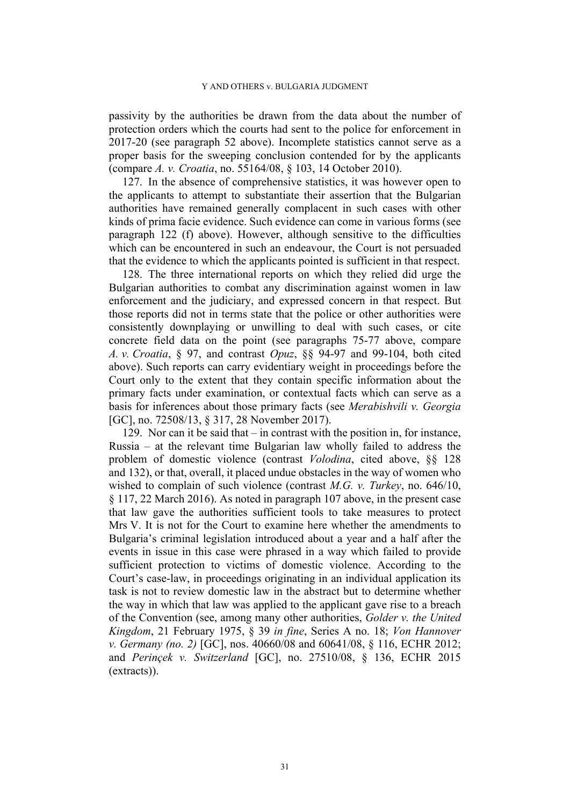passivity by the authorities be drawn from the data about the number of protection orders which the courts had sent to the police for enforcement in 2017-20 (see paragraph [52](#page-12-3) above). Incomplete statistics cannot serve as a proper basis for the sweeping conclusion contended for by the applicants (compare *A. v. Croatia*, no. 55164/08, § 103, 14 October 2010).

127. In the absence of comprehensive statistics, it was however open to the applicants to attempt to substantiate their assertion that the Bulgarian authorities have remained generally complacent in such cases with other kinds of prima facie evidence. Such evidence can come in various forms (see paragraph [122](#page-30-0) (f) above). However, although sensitive to the difficulties which can be encountered in such an endeavour, the Court is not persuaded that the evidence to which the applicants pointed is sufficient in that respect.

128. The three international reports on which they relied did urge the Bulgarian authorities to combat any discrimination against women in law enforcement and the judiciary, and expressed concern in that respect. But those reports did not in terms state that the police or other authorities were consistently downplaying or unwilling to deal with such cases, or cite concrete field data on the point (see paragraphs [75](#page-17-0)[-77](#page-19-0) above, compare *A. v. Croatia*, § 97, and contrast *Opuz*, §§ 94-97 and 99-104, both cited above). Such reports can carry evidentiary weight in proceedings before the Court only to the extent that they contain specific information about the primary facts under examination, or contextual facts which can serve as a basis for inferences about those primary facts (see *Merabishvili v. Georgia* [GC], no. 72508/13, § 317, 28 November 2017).

129. Nor can it be said that – in contrast with the position in, for instance, Russia – at the relevant time Bulgarian law wholly failed to address the problem of domestic violence (contrast *Volodina*, cited above, §§ 128 and 132), or that, overall, it placed undue obstacles in the way of women who wished to complain of such violence (contrast *M.G. v. Turkey*, no. 646/10, § 117, 22 March 2016). As noted in paragraph [107](#page-26-0) above, in the present case that law gave the authorities sufficient tools to take measures to protect Mrs V. It is not for the Court to examine here whether the amendments to Bulgaria's criminal legislation introduced about a year and a half after the events in issue in this case were phrased in a way which failed to provide sufficient protection to victims of domestic violence. According to the Court's case-law, in proceedings originating in an individual application its task is not to review domestic law in the abstract but to determine whether the way in which that law was applied to the applicant gave rise to a breach of the Convention (see, among many other authorities, *Golder v. the United Kingdom*, 21 February 1975, § 39 *in fine*, Series A no. 18; *Von Hannover v. Germany (no. 2)* [GC], nos. 40660/08 and 60641/08, § 116, ECHR 2012; and *Perinçek v. Switzerland* [GC], no. 27510/08, § 136, ECHR 2015 (extracts)).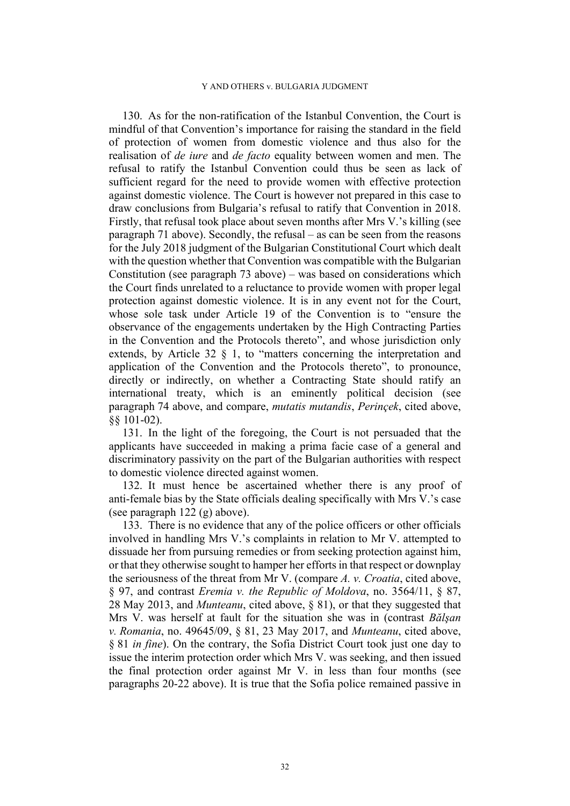130. As for the non-ratification of the Istanbul Convention, the Court is mindful of that Convention's importance for raising the standard in the field of protection of women from domestic violence and thus also for the realisation of *de iure* and *de facto* equality between women and men. The refusal to ratify the Istanbul Convention could thus be seen as lack of sufficient regard for the need to provide women with effective protection against domestic violence. The Court is however not prepared in this case to draw conclusions from Bulgaria's refusal to ratify that Convention in 2018. Firstly, that refusal took place about seven months after Mrs V.'s killing (see paragraph [71](#page-16-2) above). Secondly, the refusal – as can be seen from the reasons for the July 2018 judgment of the Bulgarian Constitutional Court which dealt with the question whether that Convention was compatible with the Bulgarian Constitution (see paragraph [73](#page-16-3) above) – was based on considerations which the Court finds unrelated to a reluctance to provide women with proper legal protection against domestic violence. It is in any event not for the Court, whose sole task under Article 19 of the Convention is to "ensure the observance of the engagements undertaken by the High Contracting Parties in the Convention and the Protocols thereto", and whose jurisdiction only extends, by Article 32 § 1, to "matters concerning the interpretation and application of the Convention and the Protocols thereto", to pronounce, directly or indirectly, on whether a Contracting State should ratify an international treaty, which is an eminently political decision (see paragraph [74](#page-17-1) above, and compare, *mutatis mutandis*, *Perinçek*, cited above, §§ 101-02).

131. In the light of the foregoing, the Court is not persuaded that the applicants have succeeded in making a prima facie case of a general and discriminatory passivity on the part of the Bulgarian authorities with respect to domestic violence directed against women.

132. It must hence be ascertained whether there is any proof of anti-female bias by the State officials dealing specifically with Mrs V.'s case (see paragraph [122](#page-30-0) (g) above).

133. There is no evidence that any of the police officers or other officials involved in handling Mrs V.'s complaints in relation to Mr V. attempted to dissuade her from pursuing remedies or from seeking protection against him, or that they otherwise sought to hamper her efforts in that respect or downplay the seriousness of the threat from Mr V. (compare *A. v. Croatia*, cited above, § 97, and contrast *Eremia v. the Republic of Moldova*, no. 3564/11, § 87, 28 May 2013, and *Munteanu*, cited above, § 81), or that they suggested that Mrs V. was herself at fault for the situation she was in (contrast *Bălşan v. Romania*, no. 49645/09, § 81, 23 May 2017, and *Munteanu*, cited above, § 81 *in fine*). On the contrary, the Sofia District Court took just one day to issue the interim protection order which Mrs V. was seeking, and then issued the final protection order against Mr V. in less than four months (see paragraphs [20-](#page-6-3)[22](#page-6-1) above). It is true that the Sofia police remained passive in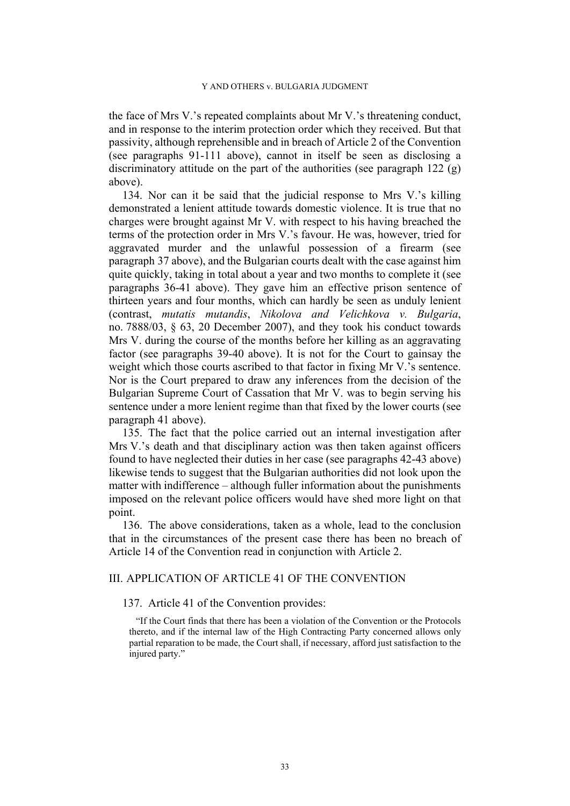the face of Mrs V.'s repeated complaints about Mr V.'s threatening conduct, and in response to the interim protection order which they received. But that passivity, although reprehensible and in breach of Article 2 of the Convention (see paragraphs [91](#page-23-0)[-111](#page-28-0) above), cannot in itself be seen as disclosing a discriminatory attitude on the part of the authorities (see paragraph [122](#page-30-0) (g) above).

134. Nor can it be said that the judicial response to Mrs V.'s killing demonstrated a lenient attitude towards domestic violence. It is true that no charges were brought against Mr V. with respect to his having breached the terms of the protection order in Mrs V.'s favour. He was, however, tried for aggravated murder and the unlawful possession of a firearm (see paragraph [37](#page-9-2) above), and the Bulgarian courts dealt with the case against him quite quickly, taking in total about a year and two months to complete it (see paragraphs [36](#page-9-3)[-41](#page-10-2) above). They gave him an effective prison sentence of thirteen years and four months, which can hardly be seen as unduly lenient (contrast, *mutatis mutandis*, *Nikolova and Velichkova v. Bulgaria*, no. 7888/03, § 63, 20 December 2007), and they took his conduct towards Mrs V. during the course of the months before her killing as an aggravating factor (see paragraphs [39-](#page-10-3)[40](#page-10-4) above). It is not for the Court to gainsay the weight which those courts ascribed to that factor in fixing Mr V.'s sentence. Nor is the Court prepared to draw any inferences from the decision of the Bulgarian Supreme Court of Cassation that Mr V. was to begin serving his sentence under a more lenient regime than that fixed by the lower courts (see paragraph [41](#page-10-2) above).

135. The fact that the police carried out an internal investigation after Mrs V.'s death and that disciplinary action was then taken against officers found to have neglected their duties in her case (see paragraphs [42](#page-10-0)[-43](#page-10-1) above) likewise tends to suggest that the Bulgarian authorities did not look upon the matter with indifference – although fuller information about the punishments imposed on the relevant police officers would have shed more light on that point.

136. The above considerations, taken as a whole, lead to the conclusion that in the circumstances of the present case there has been no breach of Article 14 of the Convention read in conjunction with Article 2.

# III. APPLICATION OF ARTICLE 41 OF THE CONVENTION

137. Article 41 of the Convention provides:

"If the Court finds that there has been a violation of the Convention or the Protocols thereto, and if the internal law of the High Contracting Party concerned allows only partial reparation to be made, the Court shall, if necessary, afford just satisfaction to the injured party."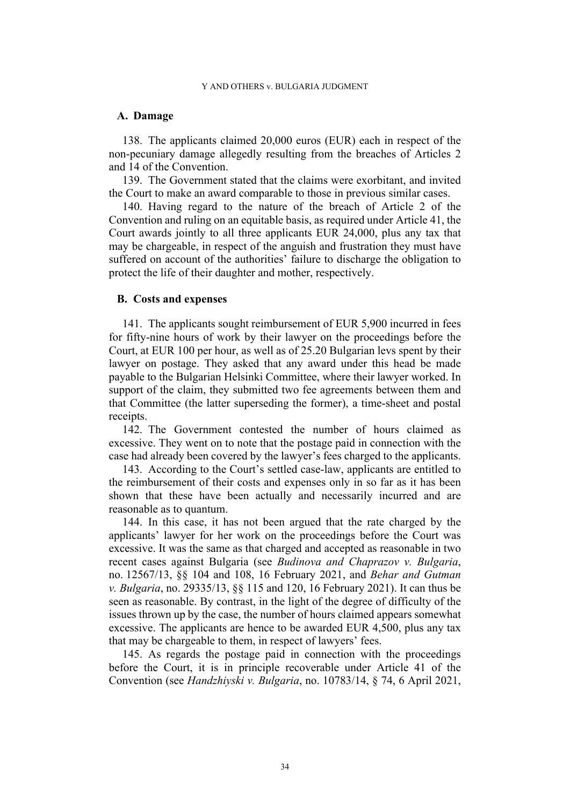### **A. Damage**

138. The applicants claimed 20,000 euros (EUR) each in respect of the non-pecuniary damage allegedly resulting from the breaches of Articles 2 and 14 of the Convention.

139. The Government stated that the claims were exorbitant, and invited the Court to make an award comparable to those in previous similar cases.

140. Having regard to the nature of the breach of Article 2 of the Convention and ruling on an equitable basis, as required under Article 41, the Court awards jointly to all three applicants EUR 24,000, plus any tax that may be chargeable, in respect of the anguish and frustration they must have suffered on account of the authorities' failure to discharge the obligation to protect the life of their daughter and mother, respectively.

# **B. Costs and expenses**

141. The applicants sought reimbursement of EUR 5,900 incurred in fees for fifty-nine hours of work by their lawyer on the proceedings before the Court, at EUR 100 per hour, as well as of 25.20 Bulgarian levs spent by their lawyer on postage. They asked that any award under this head be made payable to the Bulgarian Helsinki Committee, where their lawyer worked. In support of the claim, they submitted two fee agreements between them and that Committee (the latter superseding the former), a time-sheet and postal receipts

142. The Government contested the number of hours claimed as excessive. They went on to note that the postage paid in connection with the case had already been covered by the lawyer's fees charged to the applicants.

143. According to the Court's settled case-law, applicants are entitled to the reimbursement of their costs and expenses only in so far as it has been shown that these have been actually and necessarily incurred and are reasonable as to quantum.

144. In this case, it has not been argued that the rate charged by the applicants' lawyer for her work on the proceedings before the Court was excessive. It was the same as that charged and accepted as reasonable in two recent cases against Bulgaria (see *Budinova and Chaprazov v. Bulgaria*, no. 12567/13, §§ 104 and 108, 16 February 2021, and *Behar and Gutman v. Bulgaria*, no. 29335/13, §§ 115 and 120, 16 February 2021). It can thus be seen as reasonable. By contrast, in the light of the degree of difficulty of the issues thrown up by the case, the number of hours claimed appears somewhat excessive. The applicants are hence to be awarded EUR 4,500, plus any tax that may be chargeable to them, in respect of lawyers' fees.

145. As regards the postage paid in connection with the proceedings before the Court, it is in principle recoverable under Article 41 of the Convention (see *Handzhiyski v. Bulgaria*, no. 10783/14, § 74, 6 April 2021,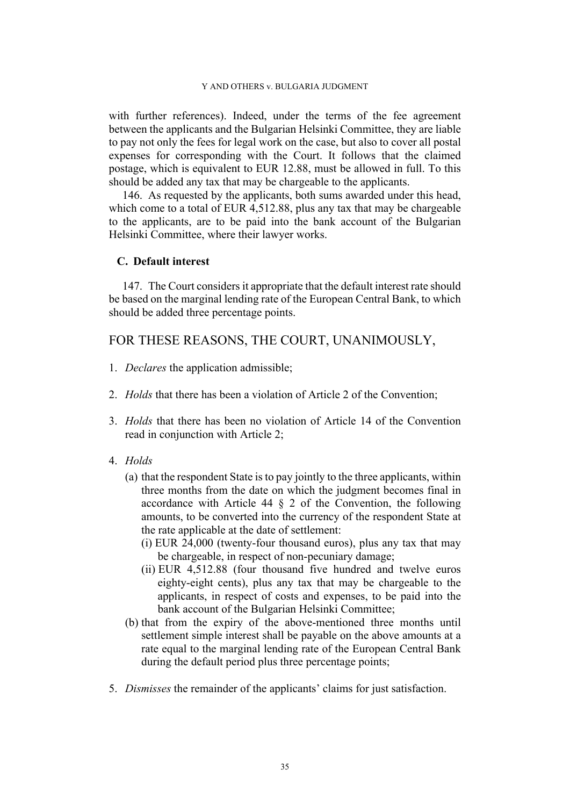with further references). Indeed, under the terms of the fee agreement between the applicants and the Bulgarian Helsinki Committee, they are liable to pay not only the fees for legal work on the case, but also to cover all postal expenses for corresponding with the Court. It follows that the claimed postage, which is equivalent to EUR 12.88, must be allowed in full. To this should be added any tax that may be chargeable to the applicants.

146. As requested by the applicants, both sums awarded under this head, which come to a total of EUR 4,512.88, plus any tax that may be chargeable to the applicants, are to be paid into the bank account of the Bulgarian Helsinki Committee, where their lawyer works.

# **C. Default interest**

147. The Court considers it appropriate that the default interest rate should be based on the marginal lending rate of the European Central Bank, to which should be added three percentage points.

# FOR THESE REASONS, THE COURT, UNANIMOUSLY,

- 1. *Declares* the application admissible;
- 2. *Holds* that there has been a violation of Article 2 of the Convention;
- 3. *Holds* that there has been no violation of Article 14 of the Convention read in conjunction with Article 2;
- 4. *Holds*
	- (a) that the respondent State is to pay jointly to the three applicants, within three months from the date on which the judgment becomes final in accordance with Article 44 § 2 of the Convention, the following amounts, to be converted into the currency of the respondent State at the rate applicable at the date of settlement:
		- (i) EUR 24,000 (twenty-four thousand euros), plus any tax that may be chargeable, in respect of non-pecuniary damage;
		- (ii) EUR 4,512.88 (four thousand five hundred and twelve euros eighty-eight cents), plus any tax that may be chargeable to the applicants, in respect of costs and expenses, to be paid into the bank account of the Bulgarian Helsinki Committee;
	- (b) that from the expiry of the above-mentioned three months until settlement simple interest shall be payable on the above amounts at a rate equal to the marginal lending rate of the European Central Bank during the default period plus three percentage points;
- 5. *Dismisses* the remainder of the applicants' claims for just satisfaction.